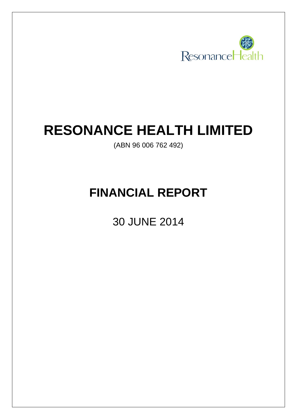

# **RESONANCE HEALTH LIMITED**

(ABN 96 006 762 492)

# **FINANCIAL REPORT**

30 JUNE 2014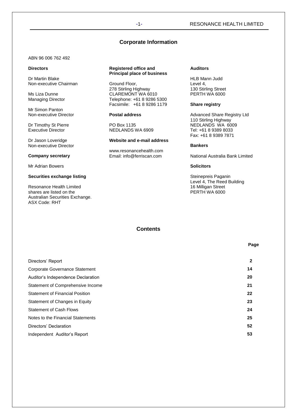## -1- RESONANCE HEALTH LIMITED

## **Corporate Information**

ABN 96 006 762 492

### **Directors**

Dr Martin Blake Non-executive Chairman

Ms Liza Dunne Managing Director

Mr Simon Panton Non-executive Director

Dr Timothy St Pierre Executive Director

Dr Jason Loveridge Non-executive Director

### **Company secretary**

Mr Adrian Bowers

## **Securities exchange listing**

Resonance Health Limited shares are listed on the Australian Securities Exchange. ASX Code: RHT

### **Registered office and Principal place of business**

Ground Floor, 278 Stirling Highway CLAREMONT WA 6010 Telephone: +61 8 9286 5300 Facsimile: +61 8 9286 1179

### **Postal address**

PO Box 1135 NEDLANDS WA 6909

### **Website and e-mail address**

www.resonancehealth.com Email: info@ferriscan.com

## **Auditors**

HLB Mann Judd Level 4, 130 Stirling Street PERTH WA 6000

### **Share registry**

Advanced Share Registry Ltd 110 Stirling Highway NEDLANDS WA 6009 Tel: +61 8 9389 8033 Fax: +61 8 9389 7871

## **Bankers**

National Australia Bank Limited

## **Solicitors**

Steinepreis Paganin Level 4, The Reed Building 16 Milligan Street PERTH WA 6000

## **Contents**

## **Page** Directors' Report **2** Corporate Governance Statement **14** Auditor's Independence Declaration **20** Statement of Comprehensive Income **21** Statement of Financial Position **22** Statement of Changes in Equity **23 23** Statement of Cash Flows **24** Notes to the Financial Statements **25** Directors' Declaration **52** Independent Auditor's Report **53**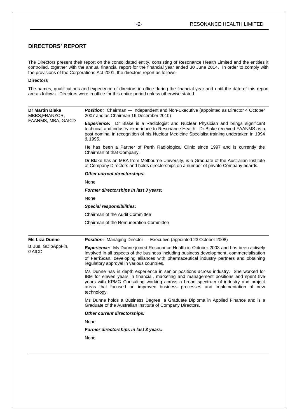## **DIRECTORS' REPORT**

The Directors present their report on the consolidated entity, consisting of Resonance Health Limited and the entities it controlled, together with the annual financial report for the financial year ended 30 June 2014. In order to comply with the provisions of the Corporations Act 2001, the directors report as follows:

## **Directors**

The names, qualifications and experience of directors in office during the financial year and until the date of this report are as follows. Directors were in office for this entire period unless otherwise stated.

| <b>Dr Martin Blake</b><br>MBBS,FRANZCR, | <b>Position:</b> Chairman - Independent and Non-Executive (appointed as Director 4 October<br>2007 and as Chairman 16 December 2010)                                                                                                                                                                                                                             |  |  |  |  |  |
|-----------------------------------------|------------------------------------------------------------------------------------------------------------------------------------------------------------------------------------------------------------------------------------------------------------------------------------------------------------------------------------------------------------------|--|--|--|--|--|
| FAANMS, MBA, GAICD                      | <b>Experience:</b> Dr Blake is a Radiologist and Nuclear Physician and brings significant<br>technical and industry experience to Resonance Health. Dr Blake received FAANMS as a<br>post nominal in recognition of his Nuclear Medicine Specialist training undertaken in 1994<br>& 1995.                                                                       |  |  |  |  |  |
|                                         | He has been a Partner of Perth Radiological Clinic since 1997 and is currently the<br>Chairman of that Company.                                                                                                                                                                                                                                                  |  |  |  |  |  |
|                                         | Dr Blake has an MBA from Melbourne University, is a Graduate of the Australian Institute<br>of Company Directors and holds directorships on a number of private Company boards.                                                                                                                                                                                  |  |  |  |  |  |
|                                         | Other current directorships:                                                                                                                                                                                                                                                                                                                                     |  |  |  |  |  |
|                                         | None                                                                                                                                                                                                                                                                                                                                                             |  |  |  |  |  |
|                                         | Former directorships in last 3 years:                                                                                                                                                                                                                                                                                                                            |  |  |  |  |  |
|                                         | None                                                                                                                                                                                                                                                                                                                                                             |  |  |  |  |  |
|                                         | <b>Special responsibilities:</b>                                                                                                                                                                                                                                                                                                                                 |  |  |  |  |  |
|                                         | Chairman of the Audit Committee                                                                                                                                                                                                                                                                                                                                  |  |  |  |  |  |
|                                         | Chairman of the Remuneration Committee                                                                                                                                                                                                                                                                                                                           |  |  |  |  |  |
| <b>Ms Liza Dunne</b>                    | <b>Position:</b> Managing Director - Executive (appointed 23 October 2008)                                                                                                                                                                                                                                                                                       |  |  |  |  |  |
| B.Bus, GDipAppFin,<br>GAICD             | <b>Experience:</b> Ms Dunne joined Resonance Health in October 2003 and has been actively<br>involved in all aspects of the business including business development, commercialisation<br>of FerriScan, developing alliances with pharmaceutical industry partners and obtaining<br>regulatory approval in various countries.                                    |  |  |  |  |  |
|                                         | Ms Dunne has in depth experience in senior positions across industry. She worked for<br>IBM for eleven years in financial, marketing and management positions and spent five<br>years with KPMG Consulting working across a broad spectrum of industry and project<br>areas that focused on improved business processes and implementation of new<br>technology. |  |  |  |  |  |
|                                         | Ms Dunne holds a Business Degree, a Graduate Diploma in Applied Finance and is a<br>Graduate of the Australian Institute of Company Directors.                                                                                                                                                                                                                   |  |  |  |  |  |
|                                         | Other current directorships:                                                                                                                                                                                                                                                                                                                                     |  |  |  |  |  |
|                                         | None                                                                                                                                                                                                                                                                                                                                                             |  |  |  |  |  |
|                                         | Former directorships in last 3 years:                                                                                                                                                                                                                                                                                                                            |  |  |  |  |  |
|                                         | None                                                                                                                                                                                                                                                                                                                                                             |  |  |  |  |  |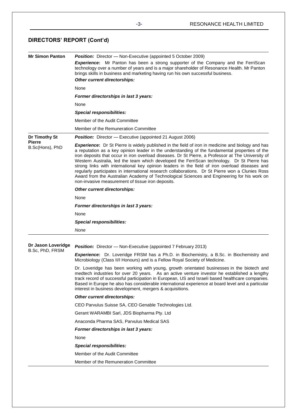| <b>Mr Simon Panton</b>         | <b>Position:</b> Director - Non-Executive (appointed 5 October 2009)                                                                                                                                                                                                                                                                                                                                                                                                                                                                                                                                                                                                                                                                                                     |  |  |  |  |  |
|--------------------------------|--------------------------------------------------------------------------------------------------------------------------------------------------------------------------------------------------------------------------------------------------------------------------------------------------------------------------------------------------------------------------------------------------------------------------------------------------------------------------------------------------------------------------------------------------------------------------------------------------------------------------------------------------------------------------------------------------------------------------------------------------------------------------|--|--|--|--|--|
|                                | <b>Experience:</b> Mr Panton has been a strong supporter of the Company and the FerriScan<br>technology over a number of years and is a major shareholder of Resonance Health. Mr Panton<br>brings skills in business and marketing having run his own successful business.<br><b>Other current directorships:</b>                                                                                                                                                                                                                                                                                                                                                                                                                                                       |  |  |  |  |  |
|                                | None                                                                                                                                                                                                                                                                                                                                                                                                                                                                                                                                                                                                                                                                                                                                                                     |  |  |  |  |  |
|                                | Former directorships in last 3 years:                                                                                                                                                                                                                                                                                                                                                                                                                                                                                                                                                                                                                                                                                                                                    |  |  |  |  |  |
|                                | None                                                                                                                                                                                                                                                                                                                                                                                                                                                                                                                                                                                                                                                                                                                                                                     |  |  |  |  |  |
|                                | <b>Special responsibilities:</b>                                                                                                                                                                                                                                                                                                                                                                                                                                                                                                                                                                                                                                                                                                                                         |  |  |  |  |  |
|                                | Member of the Audit Committee                                                                                                                                                                                                                                                                                                                                                                                                                                                                                                                                                                                                                                                                                                                                            |  |  |  |  |  |
|                                | Member of the Remuneration Committee                                                                                                                                                                                                                                                                                                                                                                                                                                                                                                                                                                                                                                                                                                                                     |  |  |  |  |  |
|                                |                                                                                                                                                                                                                                                                                                                                                                                                                                                                                                                                                                                                                                                                                                                                                                          |  |  |  |  |  |
| Dr Timothy St<br><b>Pierre</b> | <b>Position:</b> Director - Executive (appointed 21 August 2006)                                                                                                                                                                                                                                                                                                                                                                                                                                                                                                                                                                                                                                                                                                         |  |  |  |  |  |
| B.Sc(Hons), PhD                | <b>Experience:</b> Dr St Pierre is widely published in the field of iron in medicine and biology and has<br>a reputation as a key opinion leader in the understanding of the fundamental properties of the<br>iron deposits that occur in iron overload diseases. Dr St Pierre, a Professor at The University of<br>Western Australia, led the team which developed the FerriScan technology. Dr St Pierre has<br>strong links with international key opinion leaders in the field of iron overload diseases and<br>regularly participates in international research collaborations. Dr St Pierre won a Clunies Ross<br>Award from the Australian Academy of Technological Sciences and Engineering for his work on<br>non-invasive measurement of tissue iron deposits. |  |  |  |  |  |
|                                | Other current directorships:                                                                                                                                                                                                                                                                                                                                                                                                                                                                                                                                                                                                                                                                                                                                             |  |  |  |  |  |
|                                | None                                                                                                                                                                                                                                                                                                                                                                                                                                                                                                                                                                                                                                                                                                                                                                     |  |  |  |  |  |
|                                | Former directorships in last 3 years:                                                                                                                                                                                                                                                                                                                                                                                                                                                                                                                                                                                                                                                                                                                                    |  |  |  |  |  |
|                                | None                                                                                                                                                                                                                                                                                                                                                                                                                                                                                                                                                                                                                                                                                                                                                                     |  |  |  |  |  |
|                                | <b>Special responsibilities:</b>                                                                                                                                                                                                                                                                                                                                                                                                                                                                                                                                                                                                                                                                                                                                         |  |  |  |  |  |
|                                | None                                                                                                                                                                                                                                                                                                                                                                                                                                                                                                                                                                                                                                                                                                                                                                     |  |  |  |  |  |
|                                |                                                                                                                                                                                                                                                                                                                                                                                                                                                                                                                                                                                                                                                                                                                                                                          |  |  |  |  |  |
| Dr Jason Loveridge             | <b>Position:</b> Director — Non-Executive (appointed 7 February 2013)                                                                                                                                                                                                                                                                                                                                                                                                                                                                                                                                                                                                                                                                                                    |  |  |  |  |  |
| B.Sc, PhD, FRSM                | <b>Experience:</b> Dr. Loveridge FRSM has a Ph.D. in Biochemistry, a B.Sc. in Biochemistry and<br>Microbiology (Class II/I Honours) and is a Fellow Royal Society of Medicine.                                                                                                                                                                                                                                                                                                                                                                                                                                                                                                                                                                                           |  |  |  |  |  |
|                                | Dr. Loveridge has been working with young, growth orientated businesses in the biotech and<br>medtech industries for over 20 years. As an active venture investor he established a lengthy<br>track record of successful participation in European, US and Israeli based healthcare companies.<br>Based in Europe he also has considerable international experience at board level and a particular<br>interest in business development, mergers & acquisitions.                                                                                                                                                                                                                                                                                                         |  |  |  |  |  |
|                                | Other current directorships:                                                                                                                                                                                                                                                                                                                                                                                                                                                                                                                                                                                                                                                                                                                                             |  |  |  |  |  |
|                                | CEO Parvulus Suisse SA, CEO Genable Technologies Ltd.                                                                                                                                                                                                                                                                                                                                                                                                                                                                                                                                                                                                                                                                                                                    |  |  |  |  |  |
|                                | Gerant WARAMBI Sarl, JDS Biopharma Pty. Ltd                                                                                                                                                                                                                                                                                                                                                                                                                                                                                                                                                                                                                                                                                                                              |  |  |  |  |  |
|                                | Anaconda Pharma SAS, Parvulus Medical SAS                                                                                                                                                                                                                                                                                                                                                                                                                                                                                                                                                                                                                                                                                                                                |  |  |  |  |  |
|                                | Former directorships in last 3 years:                                                                                                                                                                                                                                                                                                                                                                                                                                                                                                                                                                                                                                                                                                                                    |  |  |  |  |  |
|                                | None                                                                                                                                                                                                                                                                                                                                                                                                                                                                                                                                                                                                                                                                                                                                                                     |  |  |  |  |  |
|                                | <b>Special responsibilities:</b>                                                                                                                                                                                                                                                                                                                                                                                                                                                                                                                                                                                                                                                                                                                                         |  |  |  |  |  |
|                                | Member of the Audit Committee                                                                                                                                                                                                                                                                                                                                                                                                                                                                                                                                                                                                                                                                                                                                            |  |  |  |  |  |
|                                | Member of the Remuneration Committee                                                                                                                                                                                                                                                                                                                                                                                                                                                                                                                                                                                                                                                                                                                                     |  |  |  |  |  |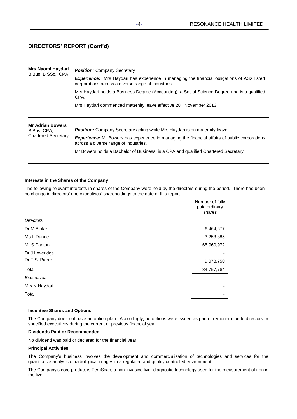| Mrs Naomi Haydari<br>B.Bus, B SSc, CPA | <b>Position:</b> Company Secretary                                                                                                                      |  |  |  |  |  |
|----------------------------------------|---------------------------------------------------------------------------------------------------------------------------------------------------------|--|--|--|--|--|
|                                        | <b>Experience:</b> Mrs Haydari has experience in managing the financial obligations of ASX listed<br>corporations across a diverse range of industries. |  |  |  |  |  |
|                                        | Mrs Haydari holds a Business Degree (Accounting), a Social Science Degree and is a qualified<br>CPA.                                                    |  |  |  |  |  |
|                                        | Mrs Haydari commenced maternity leave effective 28 <sup>th</sup> November 2013.                                                                         |  |  |  |  |  |
|                                        |                                                                                                                                                         |  |  |  |  |  |
| <b>Mr Adrian Bowers</b>                |                                                                                                                                                         |  |  |  |  |  |
| B.Bus, CPA,                            | <b>Position:</b> Company Secretary acting while Mrs Haydari is on maternity leave.                                                                      |  |  |  |  |  |
| <b>Chartered Secretary</b>             | <b>Experience:</b> Mr Bowers has experience in managing the financial affairs of public corporations<br>across a diverse range of industries.           |  |  |  |  |  |
|                                        | Mr Bowers holds a Bachelor of Business, is a CPA and qualified Chartered Secretary.                                                                     |  |  |  |  |  |

## **Interests in the Shares of the Company**

The following relevant interests in shares of the Company were held by the directors during the period. There has been no change in directors' and executives' shareholdings to the date of this report.

|                  | Number of fully<br>paid ordinary<br>shares |
|------------------|--------------------------------------------|
| <b>Directors</b> |                                            |
| Dr M Blake       | 6,464,677                                  |
| Ms L Dunne       | 3,253,385                                  |
| Mr S Panton      | 65,960,972                                 |
| Dr J Loveridge   |                                            |
| Dr T St Pierre   | 9,078,750                                  |
| Total            | 84,757,784                                 |
| Executives       |                                            |
| Mrs N Haydari    |                                            |
| Total            |                                            |
|                  |                                            |

## **Incentive Shares and Options**

The Company does not have an option plan. Accordingly, no options were issued as part of remuneration to directors or specified executives during the current or previous financial year.

## **Dividends Paid or Recommended**

No dividend was paid or declared for the financial year.

## **Principal Activities**

The Company's business involves the development and commercialisation of technologies and services for the quantitative analysis of radiological images in a regulated and quality controlled environment.

The Company's core product is FerriScan, a non-invasive liver diagnostic technology used for the measurement of iron in the liver.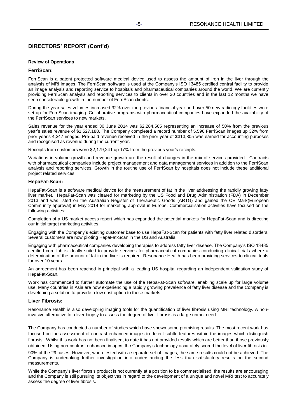## **Review of Operations**

## **FerriScan:**

FerriScan is a patent protected software medical device used to assess the amount of iron in the liver through the analysis of MRI images. The FerriScan software is used at the Company's ISO 13485 certified central facility to provide an image analysis and reporting service to hospitals and pharmaceutical companies around the world. We are currently providing FerriScan analysis and reporting services to clients in over 20 countries and in the last 12 months we have seen considerable growth in the number of FerriScan clients.

During the year sales volumes increased 32% over the previous financial year and over 50 new radiology facilities were set up for FerriScan imaging. Collaborative programs with pharmaceutical companies have expanded the availability of the FerriScan services to new markets.

Sales revenue for the year ended 30 June 2014 was \$2,284,565 representing an increase of 50% from the previous year's sales revenue of \$1,527,188. The Company completed a record number of 5,596 FerriScan images up 32% from prior year's 4,247 images. Pre-paid revenue received in the prior year of \$313,805 was earned for accounting purposes and recognised as revenue during the current year.

Receipts from customers were \$2,179,241 up 17% from the previous year's receipts.

Variations in volume growth and revenue growth are the result of changes in the mix of services provided. Contracts with pharmaceutical companies include project management and data management services in addition to the FerriScan analysis and reporting services. Growth in the routine use of FerriScan by hospitals does not include these additional project related services.

## **HepaFat-Scan:**

HepaFat-Scan is a software medical device for the measurement of fat in the liver addressing the rapidly growing fatty liver market. HepaFat-Scan was cleared for marketing by the US Food and Drug Administration (FDA) in December 2013 and was listed on the Australian Register of Therapeutic Goods (ARTG) and gained the CE Mark(European Community approval) in May 2014 for marketing approval in Europe. Commercialisation activities have focused on the following activities:

Completion of a US market access report which has expanded the potential markets for HepaFat-Scan and is directing our initial target marketing activities.

Engaging with the Company's existing customer base to use HepaFat-Scan for patients with fatty liver related disorders. Several customers are now piloting HepaFat-Scan in the US and Australia.

Engaging with pharmaceutical companies developing therapies to address fatty liver disease. The Company's ISO 13485 certified core lab is ideally suited to provide services for pharmaceutical companies conducting clinical trials where a determination of the amount of fat in the liver is required. Resonance Health has been providing services to clinical trials for over 10 years.

An agreement has been reached in principal with a leading US hospital regarding an independent validation study of HepaFat-Scan.

Work has commenced to further automate the use of the HepaFat-Scan software, enabling scale up for large volume use. Many countries in Asia are now experiencing a rapidly growing prevalence of fatty liver disease and the Company is developing a solution to provide a low cost option to these markets.

## **Liver Fibrosis:**

Resonance Health is also developing imaging tools for the quantification of liver fibrosis using MRI technology. A noninvasive alternative to a liver biopsy to assess the degree of liver fibrosis is a large unmet need.

The Company has conducted a number of studies which have shown some promising results. The most recent work has focused on the assessment of contrast-enhanced images to detect subtle features within the images which distinguish fibrosis. Whilst this work has not been finalised, to date it has not provided results which are better than those previously obtained. Using non-contrast enhanced images, the Company's technology accurately scored the level of liver fibrosis in

90% of the 29 cases. However, when tested with a separate set of images, the same results could not be achieved. The Company is undertaking further investigation into understanding the less than satisfactory results on the second measurements.

While the Company's liver fibrosis product is not currently at a position to be commercialised, the results are encouraging and the Company is still pursuing its objectives in regard to the development of a unique and novel MRI test to accurately assess the degree of liver fibrosis.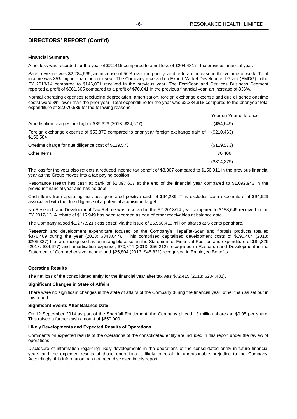## **Financial Summary**:

A net loss was recorded for the year of \$72,415 compared to a net loss of \$204,481 in the previous financial year.

Sales revenue was \$2,284,565, an increase of 50% over the prior year due to an increase in the volume of work. Total income was 35% higher than the prior year. The Company received no Export Market Development Grant (EMDG) in the FY 2013/14 compared to \$146,051 received in the previous year. The FerriScan and Services Business Segment reported a profit of \$661,665 compared to a profit of \$70,641 in the previous financial year, an increase of 836%.

Normal operating expenses (excluding depreciation, amortisation, foreign exchange expense and due diligence onetime costs) were 3% lower than the prior year. Total expenditure for the year was \$2,384,818 compared to the prior year total expenditure of \$2,070,539 for the following reasons:

|                                                                                                   | Year on Year difference |
|---------------------------------------------------------------------------------------------------|-------------------------|
| Amortisation charges are higher \$89,326 (2013: \$34,677)                                         | (\$54,649)              |
| Foreign exchange expense of \$53,879 compared to prior year foreign exchange gain of<br>\$156,584 | (S210, 463)             |
| Onetime charge for due diligence cost of \$119,573                                                | (\$119,573)             |
| Other Items                                                                                       | 70.406                  |
|                                                                                                   | (\$314,279)             |

The loss for the year also reflects a reduced income tax benefit of \$3,367 compared to \$156,911 in the previous financial year as the Group moves into a tax paying position.

Resonance Health has cash at bank of \$2,097,607 at the end of the financial year compared to \$1,092,943 in the previous financial year and has no debt.

Cash flows from operating activities generated positive cash of \$64,239. This excludes cash expenditure of \$94,629 associated with the due diligence of a potential acquisition target.

No Research and Development Tax Rebate was received in the FY 2013/14 year compared to \$188,645 received in the FY 2012/13. A rebate of \$115,949 has been recorded as part of other receivables at balance date.

The Company raised \$1,277,521 (less costs) via the issue of 25,550,419 million shares at 5 cents per share.

Research and development expenditure focused on the Company's HepaFat-Scan and fibrosis products totalled \$376,409 during the year (2013: \$343,047). This comprised capitalised development costs of \$190,404 (2013: \$205,337) that are recognised as an intangible asset in the Statement of Financial Position and expenditure of \$89,326 (2013: \$34,677) and amortisation expense, \$70,874 (2013: \$56,212) recognised in Research and Development in the Statement of Comprehensive Income and \$25,804 (2013: \$46,821) recognised in Employee Benefits.

## **Operating Results**

The net loss of the consolidated entity for the financial year after tax was \$72,415 (2013: \$204,481).

### **Significant Changes in State of Affairs**

There were no significant changes in the state of affairs of the Company during the financial year, other than as set out in this report.

### **Significant Events After Balance Date**

On 12 September 2014 as part of the Shortfall Entitlement, the Company placed 13 million shares at \$0.05 per share. This raised a further cash amount of \$650,000.

## **Likely Developments and Expected Results of Operations**

Comments on expected results of the operations of the consolidated entity are included in this report under the review of operations.

Disclosure of information regarding likely developments in the operations of the consolidated entity in future financial years and the expected results of those operations is likely to result in unreasonable prejudice to the Company. Accordingly, this information has not been disclosed in this report.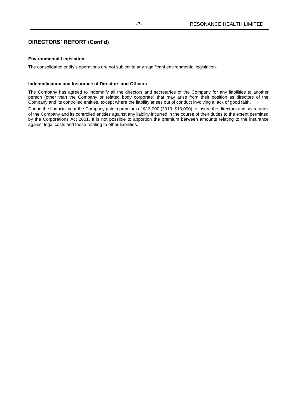## **Environmental Legislation**

The consolidated entity's operations are not subject to any significant environmental legislation.

## **Indemnification and Insurance of Directors and Officers**

The Company has agreed to indemnify all the directors and secretaries of the Company for any liabilities to another person (other than the Company or related body corporate) that may arise from their position as directors of the Company and its controlled entities, except where the liability arises out of conduct involving a lack of good faith.

During the financial year the Company paid a premium of \$13,000 (2013: \$13,000) to insure the directors and secretaries of the Company and its controlled entities against any liability incurred in the course of their duties to the extent permitted by the Corporations Act 2001. It is not possible to apportion the premium between amounts relating to the insurance against legal costs and those relating to other liabilities.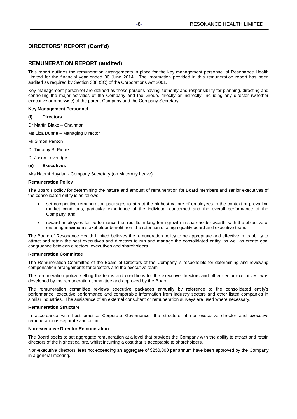## **REMUNERATION REPORT (audited)**

This report outlines the remuneration arrangements in place for the key management personnel of Resonance Health Limited for the financial year ended 30 June 2014. The information provided in this remuneration report has been audited as required by Section 308 (3C) of the Corporations Act 2001.

Key management personnel are defined as those persons having authority and responsibility for planning, directing and controlling the major activities of the Company and the Group, directly or indirectly, including any director (whether executive or otherwise) of the parent Company and the Company Secretary.

## **Key Management Personnel**

## **(i) Directors**

Dr Martin Blake – Chairman

Ms Liza Dunne – Managing Director

Mr Simon Panton

Dr Timothy St Pierre

Dr Jason Loveridge

## **(ii) Executives**

Mrs Naomi Haydari - Company Secretary (on Maternity Leave)

## **Remuneration Policy**

The Board's policy for determining the nature and amount of remuneration for Board members and senior executives of the consolidated entity is as follows:

- set competitive remuneration packages to attract the highest calibre of employees in the context of prevailing market conditions, particular experience of the individual concerned and the overall performance of the Company; and
- reward employees for performance that results in long-term growth in shareholder wealth, with the objective of ensuring maximum stakeholder benefit from the retention of a high quality board and executive team.

The Board of Resonance Health Limited believes the remuneration policy to be appropriate and effective in its ability to attract and retain the best executives and directors to run and manage the consolidated entity, as well as create goal congruence between directors, executives and shareholders.

### **Remuneration Committee**

The Remuneration Committee of the Board of Directors of the Company is responsible for determining and reviewing compensation arrangements for directors and the executive team.

The remuneration policy, setting the terms and conditions for the executive directors and other senior executives, was developed by the remuneration committee and approved by the Board.

The remuneration committee reviews executive packages annually by reference to the consolidated entity's performance, executive performance and comparable information from industry sectors and other listed companies in similar industries. The assistance of an external consultant or remuneration surveys are used where necessary.

### **Remuneration Structure**

In accordance with best practice Corporate Governance, the structure of non-executive director and executive remuneration is separate and distinct.

### **Non-executive Director Remuneration**

The Board seeks to set aggregate remuneration at a level that provides the Company with the ability to attract and retain directors of the highest calibre, whilst incurring a cost that is acceptable to shareholders.

Non-executive directors' fees not exceeding an aggregate of \$250,000 per annum have been approved by the Company in a general meeting.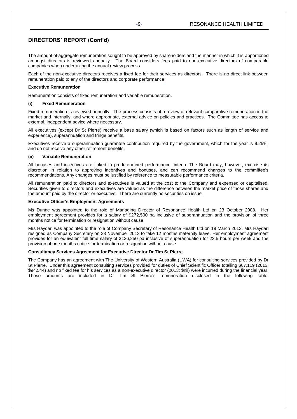The amount of aggregate remuneration sought to be approved by shareholders and the manner in which it is apportioned amongst directors is reviewed annually. The Board considers fees paid to non-executive directors of comparable companies when undertaking the annual review process.

Each of the non-executive directors receives a fixed fee for their services as directors. There is no direct link between remuneration paid to any of the directors and corporate performance.

## **Executive Remuneration**

Remuneration consists of fixed remuneration and variable remuneration.

## **(i) Fixed Remuneration**

Fixed remuneration is reviewed annually. The process consists of a review of relevant comparative remuneration in the market and internally, and where appropriate, external advice on policies and practices. The Committee has access to external, independent advice where necessary.

All executives (except Dr St Pierre) receive a base salary (which is based on factors such as length of service and experience), superannuation and fringe benefits.

Executives receive a superannuation guarantee contribution required by the government, which for the year is 9.25%, and do not receive any other retirement benefits.

## **(ii) Variable Remuneration**

All bonuses and incentives are linked to predetermined performance criteria. The Board may, however, exercise its discretion in relation to approving incentives and bonuses, and can recommend changes to the committee's recommendations. Any changes must be justified by reference to measurable performance criteria.

All remuneration paid to directors and executives is valued at the cost to the Company and expensed or capitalised. Securities given to directors and executives are valued as the difference between the market price of those shares and the amount paid by the director or executive. There are currently no securities on issue.

## **Executive Officer's Employment Agreements**

Ms Dunne was appointed to the role of Managing Director of Resonance Health Ltd on 23 October 2008. Her employment agreement provides for a salary of \$272,500 pa inclusive of superannuation and the provision of three months notice for termination or resignation without cause.

Mrs Haydari was appointed to the role of Company Secretary of Resonance Health Ltd on 19 March 2012. Mrs Haydari resigned as Company Secretary on 28 November 2013 to take 12 months maternity leave. Her employment agreement provides for an equivalent full time salary of \$136,250 pa inclusive of superannuation for 22.5 hours per week and the provision of one months notice for termination or resignation without cause.

## **Consultancy Services Agreement for Executive Director Dr Tim St Pierre**

The Company has an agreement with The University of Western Australia (UWA) for consulting services provided by Dr St Pierre. Under this agreement consulting services provided for duties of Chief Scientific Officer totalling \$67,119 (2013: \$94,544) and no fixed fee for his services as a non-executive director (2013: \$nil) were incurred during the financial year. These amounts are included in Dr Tim St Pierre's remuneration disclosed in the following table.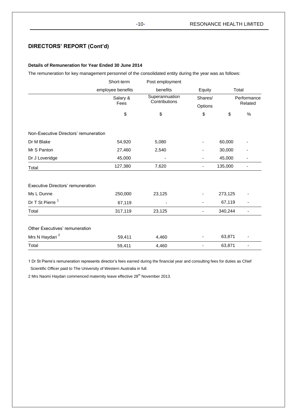## **Details of Remuneration for Year Ended 30 June 2014**

The remuneration for key management personnel of the consolidated entity during the year was as follows:

|                                       | Short-term        | Post employment                 |         |         |             |
|---------------------------------------|-------------------|---------------------------------|---------|---------|-------------|
|                                       | employee benefits | benefits                        | Equity  |         | Total       |
|                                       | Salary &          | Superannuation<br>Contributions | Shares/ |         | Performance |
|                                       | Fees              |                                 | Options |         | Related     |
|                                       | \$                | \$                              | \$      | \$      | $\%$        |
| Non-Executive Directors' remuneration |                   |                                 |         |         |             |
| Dr M Blake                            | 54,920            | 5,080                           |         | 60,000  |             |
| Mr S Panton                           | 27,460            | 2,540                           |         | 30,000  |             |
| Dr J Loveridge                        | 45,000            |                                 |         | 45,000  |             |
| Total                                 | 127,380           | 7,620                           | ۰       | 135,000 |             |
| Executive Directors' remuneration     |                   |                                 |         |         |             |
| Ms L Dunne                            | 250,000           | 23,125                          |         | 273,125 |             |
| Dr T St Pierre <sup>1</sup>           | 67,119            |                                 |         | 67,119  |             |
| Total                                 | 317,119           | 23,125                          |         | 340,244 | ä,          |
| Other Executives' remuneration        |                   |                                 |         |         |             |
| Mrs N Haydari <sup>2</sup>            | 59,411            | 4,460                           |         | 63,871  |             |
| Total                                 | 59,411            | 4,460                           |         | 63,871  |             |

1 Dr St Pierre's remuneration represents director's fees earned during the financial year and consulting fees for duties as Chief Scientific Officer paid to The University of Western Australia in full.

2 Mrs Naomi Haydari commenced maternity leave effective 28<sup>th</sup> November 2013.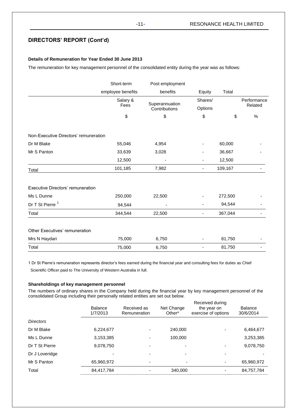## **Details of Remuneration for Year Ended 30 June 2013**

The remuneration for key management personnel of the consolidated entity during the year was as follows:

|                                       | Short-term        | Post employment                 |         |         |             |
|---------------------------------------|-------------------|---------------------------------|---------|---------|-------------|
|                                       | employee benefits | benefits                        | Equity  | Total   |             |
|                                       | Salary &          |                                 | Shares/ |         | Performance |
|                                       | Fees              | Superannuation<br>Contributions | Options |         | Related     |
|                                       | \$                | \$                              | \$      | \$      | %           |
| Non-Executive Directors' remuneration |                   |                                 |         |         |             |
| Dr M Blake                            | 55,046            | 4,954                           |         | 60,000  |             |
| Mr S Panton                           | 33,639            | 3,028                           |         | 36,667  |             |
|                                       | 12,500            |                                 |         | 12,500  |             |
| Total                                 | 101,185           | 7,982                           | ۰       | 109,167 |             |
| Executive Directors' remuneration     |                   |                                 |         |         |             |
| Ms L Dunne                            | 250,000           | 22,500                          |         | 272,500 |             |
| Dr T St Pierre <sup>1</sup>           | 94,544            |                                 |         | 94,544  |             |
| Total                                 | 344,544           | 22,500                          | ۰       | 367,044 |             |
| Other Executives' remuneration        |                   |                                 |         |         |             |
| Mrs N Haydari                         | 75,000            | 6,750                           |         | 81,750  |             |
| Total                                 | 75,000            | 6,750                           |         | 81,750  |             |

1 Dr St Pierre's remuneration represents director's fees earned during the financial year and consulting fees for duties as Chief

Scientific Officer paid to The University of Western Australia in full.

## **Shareholdings of key management personnel**

The numbers of ordinary shares in the Company held during the financial year by key management personnel of the consolidated Group including their personally related entities are set out below.

|                  | <b>Balance</b><br>1/7/2013 | Received as<br>Remuneration | Net Change<br>Other* | Received during<br>the year on<br>exercise of options | <b>Balance</b><br>30/6/2014 |
|------------------|----------------------------|-----------------------------|----------------------|-------------------------------------------------------|-----------------------------|
| <b>Directors</b> |                            |                             |                      |                                                       |                             |
| Dr M Blake       | 6,224,677                  |                             | 240.000              |                                                       | 6,464,677                   |
| Ms L Dunne       | 3,153,385                  |                             | 100,000              |                                                       | 3,253,385                   |
| Dr T St Pierre   | 9,078,750                  |                             |                      |                                                       | 9,078,750                   |
| Dr J Loveridge   |                            |                             |                      |                                                       |                             |
| Mr S Panton      | 65,960,972                 |                             | -                    |                                                       | 65,960,972                  |
| Total            | 84,417,784                 |                             | 340.000              |                                                       | 84,757,784                  |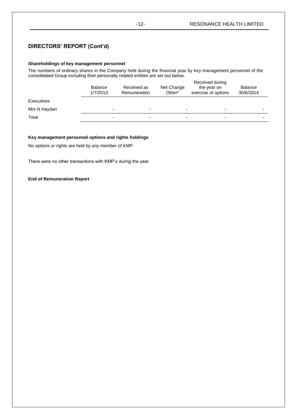## **Shareholdings of key management personnel**

The numbers of ordinary shares in the Company held during the financial year by key management personnel of the consolidated Group including their personally related entities are set out below.

|               | <b>Balance</b><br>1/7/2013 | Received as<br><b>Remuneration</b> | Net Change<br>Other* | Received during<br>the year on<br>exercise of options | <b>Balance</b><br>30/6/2014 |
|---------------|----------------------------|------------------------------------|----------------------|-------------------------------------------------------|-----------------------------|
| Executives    |                            |                                    |                      |                                                       |                             |
| Mrs N Haydari | ٠                          |                                    | ۰                    | $\overline{\phantom{0}}$                              |                             |
| Total         | ۰                          | -                                  | -                    | $\overline{\phantom{0}}$                              |                             |

## **Key management personnel options and rights holdings**

No options or rights are held by any member of KMP.

There were no other transactions with KMP's during the year.

## **End of Remuneration Report**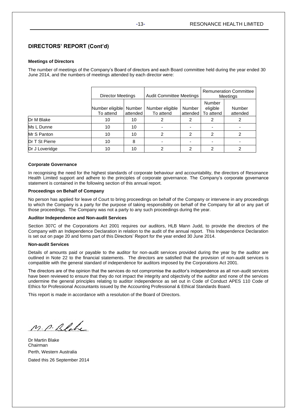## **Meetings of Directors**

The number of meetings of the Company's Board of directors and each Board committee held during the year ended 30 June 2014, and the numbers of meetings attended by each director were:

|                | Director Meetings         |          | <b>Audit Committee Meetings</b> |                          | <b>Remuneration Committee</b><br>Meetings |          |
|----------------|---------------------------|----------|---------------------------------|--------------------------|-------------------------------------------|----------|
|                | Number eligible<br>Number |          | Number eligible                 | Number                   | Number<br>eligible                        | Number   |
|                | To attend                 | attended | To attend                       | attended                 | To attend                                 | attended |
| Dr M Blake     | 10                        | 10       | 2                               | 2                        | 2                                         | 2        |
| Ms L Dunne     | 10                        | 10       |                                 | $\overline{\phantom{0}}$ | -                                         |          |
| Mr S Panton    | 10                        | 10       | 2                               | 2                        | 2                                         | 2        |
| Dr T St Pierre | 10                        | 8        |                                 |                          |                                           |          |
| Dr J Loveridge | 10                        | 10       | 2                               | 2                        | 2                                         | 2        |

## **Corporate Governance**

In recognising the need for the highest standards of corporate behaviour and accountability, the directors of Resonance Health Limited support and adhere to the principles of corporate governance. The Company's corporate governance statement is contained in the following section of this annual report.

## **Proceedings on Behalf of Company**

No person has applied for leave of Court to bring proceedings on behalf of the Company or intervene in any proceedings to which the Company is a party for the purpose of taking responsibility on behalf of the Company for all or any part of those proceedings. The Company was not a party to any such proceedings during the year.

### **Auditor Independence and Non-audit Services**

Section 307C of the Corporations Act 2001 requires our auditors, HLB Mann Judd, to provide the directors of the Company with an Independence Declaration in relation to the audit of the annual report. This Independence Declaration is set out on page 20 and forms part of this Directors' Report for the year ended 30 June 2014.

## **Non-audit Services**

Details of amounts paid or payable to the auditor for non-audit services provided during the year by the auditor are outlined in Note 22 to the financial statements. The directors are satisfied that the provision of non-audit services is compatible with the general standard of independence for auditors imposed by the Corporations Act 2001.

The directors are of the opinion that the services do not compromise the auditor's independence as all non-audit services have been reviewed to ensure that they do not impact the integrity and objectivity of the auditor and none of the services undermine the general principles relating to auditor independence as set out in Code of Conduct APES 110 Code of Ethics for Professional Accountants issued by the Accounting Professional & Ethical Standards Board.

This report is made in accordance with a resolution of the Board of Directors.

M. P. Blake

Dr Martin Blake Chairman Perth, Western Australia Dated this 26 September 2014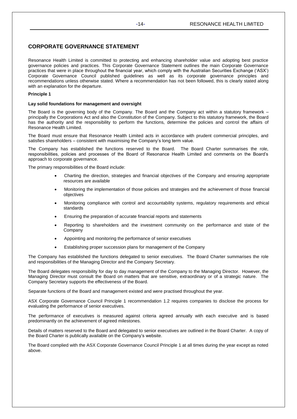## **CORPORATE GOVERNANCE STATEMENT**

Resonance Health Limited is committed to protecting and enhancing shareholder value and adopting best practice governance policies and practices. This Corporate Governance Statement outlines the main Corporate Governance practices that were in place throughout the financial year, which comply with the Australian Securities Exchange ('ASX') Corporate Governance Council published guidelines as well as its corporate governance principles and recommendations unless otherwise stated. Where a recommendation has not been followed, this is clearly stated along with an explanation for the departure.

## **Principle 1**

## **Lay solid foundations for management and oversight**

The Board is the governing body of the Company. The Board and the Company act within a statutory framework – principally the Corporations Act and also the Constitution of the Company. Subject to this statutory framework, the Board has the authority and the responsibility to perform the functions, determine the policies and control the affairs of Resonance Health Limited.

The Board must ensure that Resonance Health Limited acts in accordance with prudent commercial principles, and satisfies shareholders – consistent with maximising the Company's long term value.

The Company has established the functions reserved to the Board. The Board Charter summarises the role, responsibilities, policies and processes of the Board of Resonance Health Limited and comments on the Board's approach to corporate governance.

The primary responsibilities of the Board include:

- Charting the direction, strategies and financial objectives of the Company and ensuring appropriate resources are available
- Monitoring the implementation of those policies and strategies and the achievement of those financial objectives
- Monitoring compliance with control and accountability systems, regulatory requirements and ethical standards
- Ensuring the preparation of accurate financial reports and statements
- Reporting to shareholders and the investment community on the performance and state of the Company
- Appointing and monitoring the performance of senior executives
- Establishing proper succession plans for management of the Company

The Company has established the functions delegated to senior executives. The Board Charter summarises the role and responsibilities of the Managing Director and the Company Secretary.

The Board delegates responsibility for day to day management of the Company to the Managing Director. However, the Managing Director must consult the Board on matters that are sensitive, extraordinary or of a strategic nature. The Company Secretary supports the effectiveness of the Board.

Separate functions of the Board and management existed and were practised throughout the year.

ASX Corporate Governance Council Principle 1 recommendation 1.2 requires companies to disclose the process for evaluating the performance of senior executives.

The performance of executives is measured against criteria agreed annually with each executive and is based predominantly on the achievement of agreed milestones.

Details of matters reserved to the Board and delegated to senior executives are outlined in the Board Charter. A copy of the Board Charter is publically available on the Company's website.

The Board complied with the ASX Corporate Governance Council Principle 1 at all times during the year except as noted above.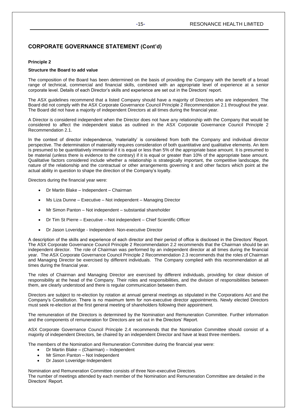## **Principle 2**

## **Structure the Board to add value**

The composition of the Board has been determined on the basis of providing the Company with the benefit of a broad range of technical, commercial and financial skills, combined with an appropriate level of experience at a senior corporate level. Details of each Director's skills and experience are set out in the Directors' report.

The ASX guidelines recommend that a listed Company should have a majority of Directors who are independent. The Board did not comply with the ASX Corporate Governance Council Principle 2 Recommendation 2.1 throughout the year. The Board did not have a majority of independent Directors at all times during the financial year.

A Director is considered independent when the Director does not have any relationship with the Company that would be considered to affect the independent status as outlined in the ASX Corporate Governance Council Principle 2 Recommendation 2.1.

In the context of director independence, 'materiality' is considered from both the Company and individual director perspective. The determination of materiality requires consideration of both quantitative and qualitative elements. An item is presumed to be quantitatively immaterial if it is equal or less than 5% of the appropriate base amount. It is presumed to be material (unless there is evidence to the contrary) if it is equal or greater than 10% of the appropriate base amount. Qualitative factors considered include whether a relationship is strategically important, the competitive landscape, the nature of the relationship and the contractual or other arrangements governing it and other factors which point at the actual ability in question to shape the direction of the Company's loyalty.

Directors during the financial year were:

- Dr Martin Blake Independent Chairman
- Ms Liza Dunne Executive Not independent Managing Director
- Mr Simon Panton Not independent substantial shareholder
- Dr Tim St Pierre Executive Not independent Chief Scientific Officer
- Dr Jason Loveridge Independent- Non-executive Director

A description of the skills and experience of each director and their period of office is disclosed in the Directors' Report. The ASX Corporate Governance Council Principle 2 Recommendation 2.2 recommends that the Chairman should be an independent director. The role of Chairman was performed by an independent director at all times during the financial year. The ASX Corporate Governance Council Principle 2 Recommendation 2.3 recommends that the roles of Chairman and Managing Director be exercised by different individuals. The Company complied with this recommendation at all times during the financial year.

The roles of Chairman and Managing Director are exercised by different individuals, providing for clear division of responsibility at the head of the Company. Their roles and responsibilities, and the division of responsibilities between them, are clearly understood and there is regular communication between them.

Directors are subject to re-election by rotation at annual general meetings as stipulated in the Corporations Act and the Company's Constitution. There is no maximum term for non-executive director appointments. Newly elected Directors must seek re-election at the first general meeting of shareholders following their appointment.

The remuneration of the Directors is determined by the Nomination and Remuneration Committee. Further information and the components of remuneration for Directors are set out in the Directors' Report.

ASX Corporate Governance Council Principle 2.4 recommends that the Nomination Committee should consist of a majority of independent Directors, be chaired by an independent Director and have at least three members.

The members of the Nomination and Remuneration Committee during the financial year were:

- Dr Martin Blake (Chairman) Independent
- Mr Simon Panton Not Independent
- Dr Jason Loveridge-Independent

Nomination and Remuneration Committee consists of three Non-executive Directors.

The number of meetings attended by each member of the Nomination and Remuneration Committee are detailed in the Directors' Report.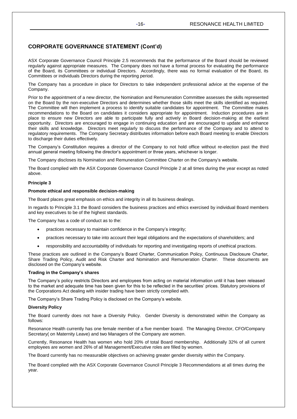ASX Corporate Governance Council Principle 2.5 recommends that the performance of the Board should be reviewed regularly against appropriate measures. The Company does not have a formal process for evaluating the performance of the Board, its Committees or individual Directors. Accordingly, there was no formal evaluation of the Board, its Committees or individuals Directors during the reporting period.

The Company has a procedure in place for Directors to take independent professional advice at the expense of the Company.

Prior to the appointment of a new director, the Nomination and Remuneration Committee assesses the skills represented on the Board by the non-executive Directors and determines whether those skills meet the skills identified as required. The Committee will then implement a process to identify suitable candidates for appointment. The Committee makes recommendations to the Board on candidates it considers appropriate for appointment. Induction procedures are in place to ensure new Directors are able to participate fully and actively in Board decision-making at the earliest opportunity. Directors are encouraged to engage in continuing education and are encouraged to update and enhance their skills and knowledge. Directors meet regularly to discuss the performance of the Company and to attend to regulatory requirements. The Company Secretary distributes information before each Board meeting to enable Directors to discharge their duties effectively.

The Company's Constitution requires a director of the Company to not hold office without re-election past the third annual general meeting following the director's appointment or three years, whichever is longer.

The Company discloses its Nomination and Remuneration Committee Charter on the Company's website.

The Board complied with the ASX Corporate Governance Council Principle 2 at all times during the year except as noted above.

## **Principle 3**

### **Promote ethical and responsible decision-making**

The Board places great emphasis on ethics and integrity in all its business dealings.

In regards to Principle 3.1 the Board considers the business practices and ethics exercised by individual Board members and key executives to be of the highest standards.

The Company has a code of conduct as to the:

- practices necessary to maintain confidence in the Company's integrity;
- practices necessary to take into account their legal obligations and the expectations of shareholders; and
- responsibility and accountability of individuals for reporting and investigating reports of unethical practices.

These practices are outlined in the Company's Board Charter, Communication Policy, Continuous Disclosure Charter, Share Trading Policy, Audit and Risk Charter and Nomination and Remuneration Charter. These documents are disclosed on the Company's website.

### **Trading in the Company's shares**

The Company's policy restricts Directors and employees from acting on material information until it has been released to the market and adequate time has been given for this to be reflected in the securities' prices. Statutory provisions of the Corporations Act dealing with insider trading have been strictly complied with.

The Company's Share Trading Policy is disclosed on the Company's website.

### **Diversity Policy**

The Board currently does not have a Diversity Policy. Gender Diversity is demonstrated within the Company as follows:

Resonance Health currently has one female member of a five member board. The Managing Director, CFO/Company Secretary( on Maternity Leave) and two Managers of the Company are women.

Currently, Resonance Health has women who hold 20% of total Board membership. Additionally 32% of all current employees are women and 26% of all Management/Executive roles are filled by women.

The Board currently has no measurable objectives on achieving greater gender diversity within the Company.

The Board complied with the ASX Corporate Governance Council Principle 3 Recommendations at all times during the year.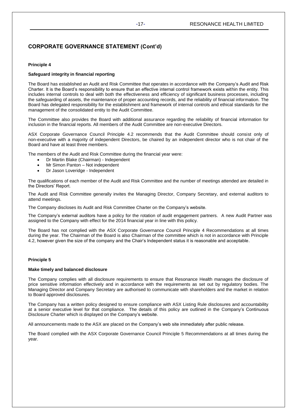## **Principle 4**

## **Safeguard integrity in financial reporting**

The Board has established an Audit and Risk Committee that operates in accordance with the Company's Audit and Risk Charter. It is the Board's responsibility to ensure that an effective internal control framework exists within the entity. This includes internal controls to deal with both the effectiveness and efficiency of significant business processes, including the safeguarding of assets, the maintenance of proper accounting records, and the reliability of financial information. The Board has delegated responsibility for the establishment and framework of internal controls and ethical standards for the management of the consolidated entity to the Audit Committee.

The Committee also provides the Board with additional assurance regarding the reliability of financial information for inclusion in the financial reports. All members of the Audit Committee are non-executive Directors.

ASX Corporate Governance Council Principle 4.2 recommends that the Audit Committee should consist only of non-executive with a majority of independent Directors, be chaired by an independent director who is not chair of the Board and have at least three members.

The members of the Audit and Risk Committee during the financial year were:

- Dr Martin Blake (Chairman) Independent
- Mr Simon Panton Not independent
- Dr Jason Loveridge Independent

The qualifications of each member of the Audit and Risk Committee and the number of meetings attended are detailed in the Directors' Report.

The Audit and Risk Committee generally invites the Managing Director, Company Secretary, and external auditors to attend meetings.

The Company discloses its Audit and Risk Committee Charter on the Company's website.

The Company's external auditors have a policy for the rotation of audit engagement partners. A new Audit Partner was assigned to the Company with effect for the 2014 financial year in line with this policy.

The Board has not complied with the ASX Corporate Governance Council Principle 4 Recommendations at all times during the year. The Chairman of the Board is also Chairman of the committee which is not in accordance with Principle 4.2, however given the size of the company and the Chair's Independent status it is reasonable and acceptable.

## **Principle 5**

## **Make timely and balanced disclosure**

The Company complies with all disclosure requirements to ensure that Resonance Health manages the disclosure of price sensitive information effectively and in accordance with the requirements as set out by regulatory bodies. The Managing Director and Company Secretary are authorised to communicate with shareholders and the market in relation to Board approved disclosures.

The Company has a written policy designed to ensure compliance with ASX Listing Rule disclosures and accountability at a senior executive level for that compliance. The details of this policy are outlined in the Company's Continuous Disclosure Charter which is displayed on the Company's website.

All announcements made to the ASX are placed on the Company's web site immediately after public release.

The Board complied with the ASX Corporate Governance Council Principle 5 Recommendations at all times during the year.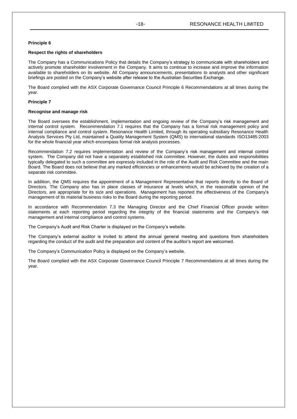## **Principle 6**

## **Respect the rights of shareholders**

The Company has a Communications Policy that details the Company's strategy to communicate with shareholders and actively promote shareholder involvement in the Company. It aims to continue to increase and improve the information available to shareholders on its website. All Company announcements, presentations to analysts and other significant briefings are posted on the Company's website after release to the Australian Securities Exchange.

The Board complied with the ASX Corporate Governance Council Principle 6 Recommendations at all times during the year.

## **Principle 7**

## **Recognise and manage risk**

The Board oversees the establishment, implementation and ongoing review of the Company's risk management and internal control system. Recommendation 7.1 requires that the Company has a formal risk management policy and internal compliance and control system. Resonance Health Limited, through its operating subsidiary Resonance Health Analysis Services Pty Ltd, maintained a Quality Management System (QMS) to international standards ISO13485:2003 for the whole financial year which encompass formal risk analysis processes.

Recommendation 7.2 requires implementation and review of the Company's risk management and internal control system. The Company did not have a separately established risk committee. However, the duties and responsibilities typically delegated to such a committee are expressly included in the role of the Audit and Risk Committee and the main Board. The Board does not believe that any marked efficiencies or enhancements would be achieved by the creation of a separate risk committee.

In addition, the QMS requires the appointment of a Management Representative that reports directly to the Board of Directors. The Company also has in place classes of insurance at levels which, in the reasonable opinion of the Directors, are appropriate for its size and operations. Management has reported the effectiveness of the Company's management of its material business risks to the Board during the reporting period.

In accordance with Recommendation 7.3 the Managing Director and the Chief Financial Officer provide written statements at each reporting period regarding the integrity of the financial statements and the Company's risk management and internal compliance and control systems.

The Company's Audit and Risk Charter is displayed on the Company's website.

The Company's external auditor is invited to attend the annual general meeting and questions from shareholders regarding the conduct of the audit and the preparation and content of the auditor's report are welcomed.

The Company's Communication Policy is displayed on the Company's website.

The Board complied with the ASX Corporate Governance Council Principle 7 Recommendations at all times during the year.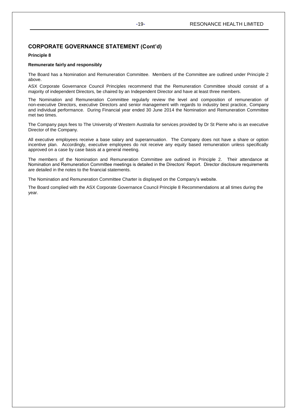## **Principle 8**

## **Remunerate fairly and responsibly**

The Board has a Nomination and Remuneration Committee. Members of the Committee are outlined under Principle 2 above.

ASX Corporate Governance Council Principles recommend that the Remuneration Committee should consist of a majority of independent Directors, be chaired by an Independent Director and have at least three members.

The Nomination and Remuneration Committee regularly review the level and composition of remuneration of non-executive Directors, executive Directors and senior management with regards to industry best practice, Company and individual performance. During Financial year ended 30 June 2014 the Nomination and Remuneration Committee met two times.

The Company pays fees to The University of Western Australia for services provided by Dr St Pierre who is an executive Director of the Company.

All executive employees receive a base salary and superannuation. The Company does not have a share or option incentive plan. Accordingly, executive employees do not receive any equity based remuneration unless specifically approved on a case by case basis at a general meeting.

The members of the Nomination and Remuneration Committee are outlined in Principle 2. Their attendance at Nomination and Remuneration Committee meetings is detailed in the Directors' Report. Director disclosure requirements are detailed in the notes to the financial statements.

The Nomination and Remuneration Committee Charter is displayed on the Company's website.

The Board complied with the ASX Corporate Governance Council Principle 8 Recommendations at all times during the year.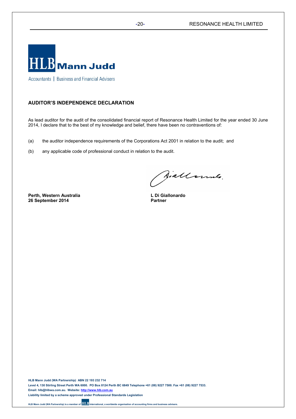

Accountants | Business and Financial Advisers

## **AUDITOR'S INDEPENDENCE DECLARATION**

As lead auditor for the audit of the consolidated financial report of Resonance Health Limited for the year ended 30 June 2014, I declare that to the best of my knowledge and belief, there have been no contraventions of:

- (a) the auditor independence requirements of the Corporations Act 2001 in relation to the audit; and
- (b) any applicable code of professional conduct in relation to the audit.

**Perth, Western Australia 26 September 2014**

Siallonnes.

**L Di Giallonardo Partner**

**HLB Mann Judd (WA Partnership) ABN 22 193 232 714 Level 4, 130 Stirling Street Perth WA 6000. PO Box 8124 Perth BC 6849 Telephone +61 (08) 9227 7500. Fax +61 (08) 9227 7533. Email: hlb@hlbwa.com.au. Website: http://www.hlb.com.au Liability limited by a scheme approved under Professional Standards Legislation**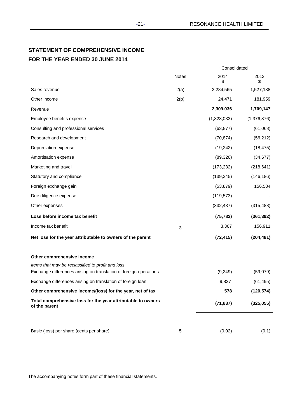## **STATEMENT OF COMPREHENSIVE INCOME FOR THE YEAR ENDED 30 JUNE 2014**

|                                                                                 |       | Consolidated |             |
|---------------------------------------------------------------------------------|-------|--------------|-------------|
|                                                                                 | Notes | 2014<br>\$   | 2013<br>\$  |
| Sales revenue                                                                   | 2(a)  | 2,284,565    | 1,527,188   |
| Other income                                                                    | 2(b)  | 24,471       | 181,959     |
| Revenue                                                                         |       | 2,309,036    | 1,709,147   |
| Employee benefits expense                                                       |       | (1,323,033)  | (1,376,376) |
| Consulting and professional services                                            |       | (63, 877)    | (61,068)    |
| Research and development                                                        |       | (70, 874)    | (56, 212)   |
| Depreciation expense                                                            |       | (19, 242)    | (18, 475)   |
| Amortisation expense                                                            |       | (89, 326)    | (34, 677)   |
| Marketing and travel                                                            |       | (173, 232)   | (218, 641)  |
| Statutory and compliance                                                        |       | (139, 345)   | (146, 186)  |
| Foreign exchange gain                                                           |       | (53, 879)    | 156,584     |
| Due diligence expense                                                           |       | (119, 573)   |             |
| Other expenses                                                                  |       | (332, 437)   | (315, 488)  |
| Loss before income tax benefit                                                  |       | (75, 782)    | (361, 392)  |
| Income tax benefit                                                              | 3     | 3,367        | 156,911     |
| Net loss for the year attributable to owners of the parent                      |       | (72, 415)    | (204, 481)  |
| Other comprehensive income<br>Items that may be reclassified to profit and loss |       |              |             |
| Exchange differences arising on translation of foreign operations               |       | (9,249)      | (59,079)    |
| Exchange differences arising on translation of foreign loan                     |       | 9,827        | (61, 495)   |
| Other comprehensive income/(loss) for the year, net of tax                      |       | 578          | (120, 574)  |
| Total comprehensive loss for the year attributable to owners<br>of the parent   |       | (71, 837)    | (325,055)   |
|                                                                                 |       |              |             |
| Basic (loss) per share (cents per share)                                        | 5     | (0.02)       | (0.1)       |

The accompanying notes form part of these financial statements.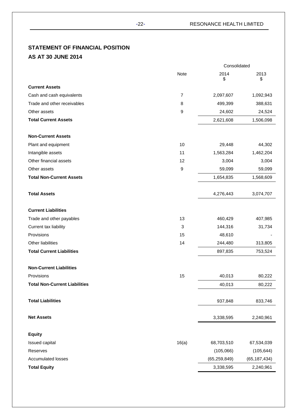# **STATEMENT OF FINANCIAL POSITION**

## **AS AT 30 JUNE 2014**

|                                      | Consolidated |                |                |  |
|--------------------------------------|--------------|----------------|----------------|--|
|                                      | Note         | 2014<br>\$     | 2013<br>\$     |  |
| <b>Current Assets</b>                |              |                |                |  |
| Cash and cash equivalents            | 7            | 2,097,607      | 1,092,943      |  |
| Trade and other receivables          | 8            | 499,399        | 388,631        |  |
| Other assets                         | 9            | 24,602         | 24,524         |  |
| <b>Total Current Assets</b>          |              | 2,621,608      | 1,506,098      |  |
| <b>Non-Current Assets</b>            |              |                |                |  |
| Plant and equipment                  | 10           | 29,448         | 44,302         |  |
| Intangible assets                    | 11           | 1,563,284      | 1,462,204      |  |
| Other financial assets               | 12           | 3,004          | 3,004          |  |
| Other assets                         | 9            | 59,099         | 59,099         |  |
| <b>Total Non-Current Assets</b>      |              | 1,654,835      | 1,568,609      |  |
| <b>Total Assets</b>                  |              | 4,276,443      | 3,074,707      |  |
| <b>Current Liabilities</b>           |              |                |                |  |
| Trade and other payables             | 13           | 460,429        | 407,985        |  |
| Current tax liability                | 3            | 144,316        | 31,734         |  |
| Provisions                           | 15           | 48,610         |                |  |
| Other liabilities                    | 14           | 244,480        | 313,805        |  |
| <b>Total Current Liabilities</b>     |              | 897,835        | 753,524        |  |
| <b>Non-Current Liabilities</b>       |              |                |                |  |
| Provisions                           | 15           | 40,013         | 80,222         |  |
| <b>Total Non-Current Liabilities</b> |              | 40,013         | 80,222         |  |
| <b>Total Liabilities</b>             |              | 937,848        | 833,746        |  |
| <b>Net Assets</b>                    |              | 3,338,595      | 2,240,961      |  |
| <b>Equity</b>                        |              |                |                |  |
| Issued capital                       | 16(a)        | 68,703,510     | 67,534,039     |  |
| Reserves                             |              | (105,066)      | (105, 644)     |  |
| Accumulated losses                   |              | (65, 259, 849) | (65, 187, 434) |  |
| <b>Total Equity</b>                  |              | 3,338,595      | 2,240,961      |  |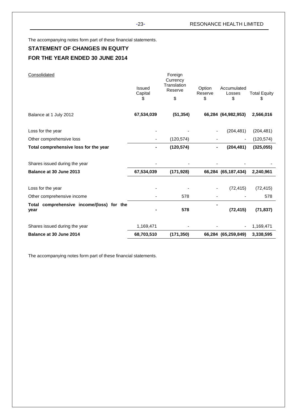The accompanying notes form part of these financial statements.

## **STATEMENT OF CHANGES IN EQUITY FOR THE YEAR ENDED 30 JUNE 2014**

| Consolidated                                      | Issued<br>Capital<br>S | Foreign<br>Currency<br>Translation<br>Reserve<br>\$ | Option<br>Reserve<br>\$ | Accumulated<br>Losses<br>\$ | <b>Total Equity</b><br>\$ |
|---------------------------------------------------|------------------------|-----------------------------------------------------|-------------------------|-----------------------------|---------------------------|
| Balance at 1 July 2012                            | 67,534,039             | (51, 354)                                           |                         | 66,284 (64,982,953)         | 2,566,016                 |
| Loss for the year                                 |                        |                                                     |                         | (204, 481)                  | (204, 481)                |
| Other comprehensive loss                          |                        | (120, 574)                                          |                         |                             | (120, 574)                |
| Total comprehensive loss for the year             |                        | (120, 574)                                          |                         | (204, 481)                  | (325, 055)                |
| Shares issued during the year                     |                        |                                                     |                         |                             |                           |
| Balance at 30 June 2013                           | 67,534,039             | (171, 928)                                          |                         | 66,284 (65,187,434)         | 2,240,961                 |
| Loss for the year                                 |                        |                                                     |                         | (72, 415)                   | (72, 415)                 |
| Other comprehensive income                        |                        | 578                                                 |                         |                             | 578                       |
| Total comprehensive income/(loss) for the<br>year |                        | 578                                                 |                         | (72, 415)                   | (71, 837)                 |
| Shares issued during the year                     | 1,169,471              |                                                     |                         |                             | 1,169,471                 |
| Balance at 30 June 2014                           | 68,703,510             | (171, 350)                                          |                         | 66,284 (65,259,849)         | 3,338,595                 |

The accompanying notes form part of these financial statements.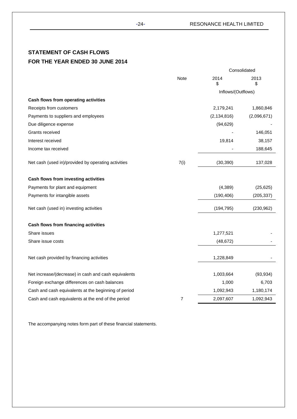## **STATEMENT OF CASH FLOWS FOR THE YEAR ENDED 30 JUNE 2014**

|                                                      |                |                    | Consolidated |
|------------------------------------------------------|----------------|--------------------|--------------|
|                                                      | Note           | 2014<br>\$         | 2013<br>\$   |
|                                                      |                | Inflows/(Outflows) |              |
| Cash flows from operating activities                 |                |                    |              |
| Receipts from customers                              |                | 2,179,241          | 1,860,846    |
| Payments to suppliers and employees                  |                | (2, 134, 816)      | (2,096,671)  |
| Due diligence expense                                |                | (94, 629)          |              |
| Grants received                                      |                |                    | 146,051      |
| Interest received                                    |                | 19,814             | 38,157       |
| Income tax received                                  |                |                    | 188,645      |
| Net cash (used in)/provided by operating activities  | 7(i)           | (30, 390)          | 137,028      |
| Cash flows from investing activities                 |                |                    |              |
| Payments for plant and equipment                     |                | (4, 389)           | (25, 625)    |
| Payments for intangible assets                       |                | (190, 406)         | (205, 337)   |
| Net cash (used in) investing activities              |                | (194, 795)         | (230, 962)   |
| Cash flows from financing activities                 |                |                    |              |
| Share issues                                         |                | 1,277,521          |              |
| Share issue costs                                    |                | (48, 672)          |              |
| Net cash provided by financing activities            |                | 1,228,849          |              |
| Net increase/(decrease) in cash and cash equivalents |                | 1,003,664          | (93, 934)    |
| Foreign exchange differences on cash balances        |                | 1,000              | 6,703        |
| Cash and cash equivalents at the beginning of period |                | 1,092,943          | 1,180,174    |
| Cash and cash equivalents at the end of the period   | $\overline{7}$ | 2,097,607          | 1,092,943    |

The accompanying notes form part of these financial statements.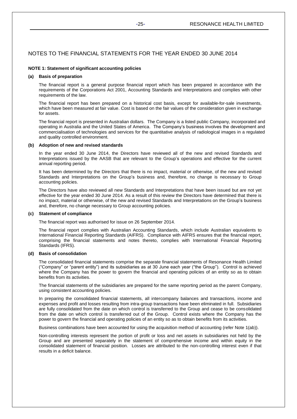## **NOTE 1: Statement of significant accounting policies**

### **(a) Basis of preparation**

The financial report is a general purpose financial report which has been prepared in accordance with the requirements of the Corporations Act 2001, Accounting Standards and Interpretations and complies with other requirements of the law.

The financial report has been prepared on a historical cost basis, except for available-for-sale investments, which have been measured at fair value. Cost is based on the fair values of the consideration given in exchange for assets.

The financial report is presented in Australian dollars. The Company is a listed public Company, incorporated and operating in Australia and the United States of America. The Company's business involves the development and commercialisation of technologies and services for the quantitative analysis of radiological images in a regulated and quality controlled environment.

## **(b) Adoption of new and revised standards**

In the year ended 30 June 2014, the Directors have reviewed all of the new and revised Standards and Interpretations issued by the AASB that are relevant to the Group's operations and effective for the current annual reporting period.

It has been determined by the Directors that there is no impact, material or otherwise, of the new and revised Standards and Interpretations on the Group's business and, therefore, no change is necessary to Group accounting policies.

The Directors have also reviewed all new Standards and Interpretations that have been issued but are not yet effective for the year ended 30 June 2014. As a result of this review the Directors have determined that there is no impact, material or otherwise, of the new and revised Standards and Interpretations on the Group's business and, therefore, no change necessary to Group accounting policies.

## **(c) Statement of compliance**

The financial report was authorised for issue on 26 September 2014.

The financial report complies with Australian Accounting Standards, which include Australian equivalents to International Financial Reporting Standards (AIFRS). Compliance with AIFRS ensures that the financial report, comprising the financial statements and notes thereto, complies with International Financial Reporting Standards (IFRS).

## **(d) Basis of consolidation**

The consolidated financial statements comprise the separate financial statements of Resonance Health Limited ("Company" or "parent entity") and its subsidiaries as at 30 June each year ("the Group"). Control is achieved where the Company has the power to govern the financial and operating policies of an entity so as to obtain benefits from its activities.

The financial statements of the subsidiaries are prepared for the same reporting period as the parent Company, using consistent accounting policies.

In preparing the consolidated financial statements, all intercompany balances and transactions, income and expenses and profit and losses resulting from intra-group transactions have been eliminated in full. Subsidiaries are fully consolidated from the date on which control is transferred to the Group and cease to be consolidated from the date on which control is transferred out of the Group. Control exists where the Company has the power to govern the financial and operating policies of an entity so as to obtain benefits from its activities.

Business combinations have been accounted for using the acquisition method of accounting (refer Note 1(ab)).

Non-controlling interests represent the portion of profit or loss and net assets in subsidiaries not held by the Group and are presented separately in the statement of comprehensive income and within equity in the consolidated statement of financial position. Losses are attributed to the non-controlling interest even if that results in a deficit balance.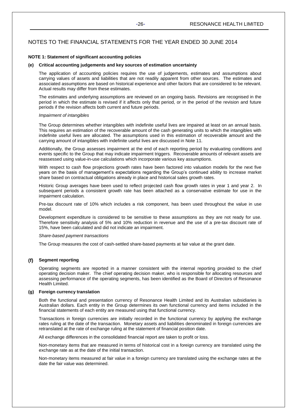## **NOTE 1: Statement of significant accounting policies**

## **(e) Critical accounting judgements and key sources of estimation uncertainty**

The application of accounting policies requires the use of judgements, estimates and assumptions about carrying values of assets and liabilities that are not readily apparent from other sources. The estimates and associated assumptions are based on historical experience and other factors that are considered to be relevant. Actual results may differ from these estimates.

The estimates and underlying assumptions are reviewed on an ongoing basis. Revisions are recognised in the period in which the estimate is revised if it affects only that period, or in the period of the revision and future periods if the revision affects both current and future periods.

## *Impairment of intangibles*

The Group determines whether intangibles with indefinite useful lives are impaired at least on an annual basis. This requires an estimation of the recoverable amount of the cash generating units to which the intangibles with indefinite useful lives are allocated. The assumptions used in this estimation of recoverable amount and the carrying amount of intangibles with indefinite useful lives are discussed in Note 11.

Additionally, the Group assesses impairment at the end of each reporting period by evaluating conditions and events specific to the Group that may indicate impairment triggers. Recoverable amounts of relevant assets are reassessed using value-in-use calculations which incorporate various key assumptions.

With respect to cash flow projections growth rates have been factored into valuation models for the next five years on the basis of management's expectations regarding the Group's continued ability to increase market share based on contractual obligations already in place and historical sales growth rates.

Historic Group averages have been used to reflect projected cash flow growth rates in year 1 and year 2. In subsequent periods a consistent growth rate has been attached as a conservative estimate for use in the impairment calculation.

Pre-tax discount rate of 10% which includes a risk component, has been used throughout the value in use model.

Development expenditure is considered to be sensitive to these assumptions as they are not ready for use. Therefore sensitivity analysis of 5% and 10% reduction in revenue and the use of a pre-tax discount rate of 15%, have been calculated and did not indicate an impairment.

### *Share-based payment transactions*

The Group measures the cost of cash-settled share-based payments at fair value at the grant date.

## **(f) Segment reporting**

Operating segments are reported in a manner consistent with the internal reporting provided to the chief operating decision maker. The chief operating decision maker, who is responsible for allocating resources and assessing performance of the operating segments, has been identified as the Board of Directors of Resonance Health Limited.

## **(g) Foreign currency translation**

Both the functional and presentation currency of Resonance Health Limited and its Australian subsidiaries is Australian dollars. Each entity in the Group determines its own functional currency and items included in the financial statements of each entity are measured using that functional currency.

Transactions in foreign currencies are initially recorded in the functional currency by applying the exchange rates ruling at the date of the transaction. Monetary assets and liabilities denominated in foreign currencies are retranslated at the rate of exchange ruling at the statement of financial position date.

All exchange differences in the consolidated financial report are taken to profit or loss.

Non-monetary items that are measured in terms of historical cost in a foreign currency are translated using the exchange rate as at the date of the initial transaction.

Non-monetary items measured at fair value in a foreign currency are translated using the exchange rates at the date the fair value was determined.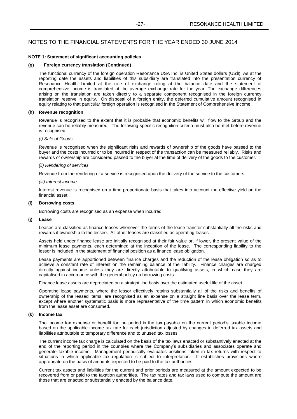### **NOTE 1: Statement of significant accounting policies**

### **(g) Foreign currency translation (Continued)**

The functional currency of the foreign operation Resonance USA Inc. is United States dollars (US\$). As at the reporting date the assets and liabilities of this subsidiary are translated into the presentation currency of Resonance Health Limited at the rate of exchange ruling at the balance date and the statement of comprehensive income is translated at the average exchange rate for the year. The exchange differences arising on the translation are taken directly to a separate component recognised in the foreign currency translation reserve in equity. On disposal of a foreign entity, the deferred cumulative amount recognised in equity relating to that particular foreign operation is recognised in the Statement of Comprehensive Income.

## **(h) Revenue recognition**

Revenue is recognised to the extent that it is probable that economic benefits will flow to the Group and the revenue can be reliably measured. The following specific recognition criteria must also be met before revenue is recognised:

## *(i) Sale of Goods*

Revenue is recognised when the significant risks and rewards of ownership of the goods have passed to the buyer and the costs incurred or to be incurred in respect of the transaction can be measured reliably. Risks and rewards of ownership are considered passed to the buyer at the time of delivery of the goods to the customer.

### *(ii) Rendering of services*

Revenue from the rendering of a service is recognised upon the delivery of the service to the customers.

### *(iii) Interest income*

Interest revenue is recognised on a time proportionate basis that takes into account the effective yield on the financial asset.

## **(i) Borrowing costs**

Borrowing costs are recognised as an expense when incurred.

### **(j) Lease**

Leases are classified as finance leases whenever the terms of the lease transfer substantially all the risks and rewards if ownership to the lessee. All other leases are classified as operating leases.

Assets held under finance lease are initially recognised at their fair value or, if lower, the present value of the minimum lease payments, each determined at the inception of the lease. The corresponding liability to the lessor is included in the statement of financial position as a finance lease obligation.

Lease payments are apportioned between finance charges and the reduction of the lease obligation so as to achieve a constant rate of interest on the remaining balance of the liability. Finance charges are charged directly against income unless they are directly attributable to qualifying assets, in which case they are capitalised in accordance with the general policy on borrowing costs.

Finance lease assets are depreciated on a straight line basis over the estimated useful life of the asset.

Operating lease payments, where the lessor effectively retains substantially all of the risks and benefits of ownership of the leased items, are recognised as an expense on a straight line basis over the lease term, except where another systematic basis is more representative of the time pattern in which economic benefits from the lease asset are consumed.

## **(k) Income tax**

The income tax expense or benefit for the period is the tax payable on the current period's taxable income based on the applicable income tax rate for each jurisdiction adjusted by changes in deferred tax assets and liabilities attributable to temporary difference and to unused tax losses.

The current income tax charge is calculated on the basis of the tax laws enacted or substantively enacted at the end of the reporting period in the countries where the Company's subsidiaries and associates operate and generate taxable income. Management periodically evaluates positions taken in tax returns with respect to situations in which applicable tax regulation is subject to interpretation. It establishes provisions where appropriate on the basis of amounts expected to be paid to the tax authorities.

Current tax assets and liabilities for the current and prior periods are measured at the amount expected to be recovered from or paid to the taxation authorities. The tax rates and tax laws used to compute the amount are those that are enacted or substantially enacted by the balance date.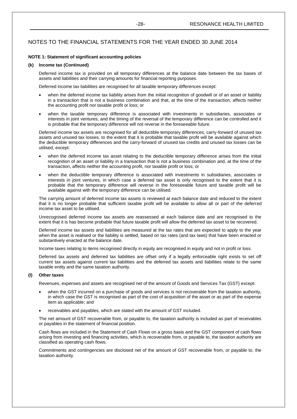## **NOTE 1: Statement of significant accounting policies**

## **(k) Income tax (Continued)**

Deferred income tax is provided on all temporary differences at the balance date between the tax bases of assets and liabilities and their carrying amounts for financial reporting purposes.

Deferred income tax liabilities are recognised for all taxable temporary differences except:

- when the deferred income tax liability arises from the initial recognition of goodwill or of an asset or liability in a transaction that is not a business combination and that, at the time of the transaction, affects neither the accounting profit nor taxable profit or loss; or
- when the taxable temporary difference is associated with investments in subsidiaries, associates or interests in joint ventures, and the timing of the reversal of the temporary difference can be controlled and it is probable that the temporary difference will not reverse in the foreseeable future.

Deferred income tax assets are recognised for all deductible temporary differences, carry-forward of unused tax assets and unused tax losses, to the extent that it is probable that taxable profit will be available against which the deductible temporary differences and the carry-forward of unused tax credits and unused tax losses can be utilised, except:

- when the deferred income tax asset relating to the deductible temporary difference arises from the initial recognition of an asset or liability in a transaction that is not a business combination and, at the time of the transaction, affects neither the accounting profit, nor taxable profit or loss; or
- when the deductible temporary difference is associated with investments in subsidiaries, associates or interests in joint ventures, in which case a deferred tax asset is only recognised to the extent that it is probable that the temporary difference will reverse in the foreseeable future and taxable profit will be available against with the temporary difference can be utilised.

The carrying amount of deferred income tax assets is reviewed at each balance date and reduced to the extent that it is no longer probable that sufficient taxable profit will be available to allow all or part of the deferred income tax asset to be utilised.

Unrecognised deferred income tax assets are reassessed at each balance date and are recognised to the extent that it is has become probable that future taxable profit will allow the deferred tax asset to be recovered.

Deferred income tax assets and liabilities are measured at the tax rates that are expected to apply to the year when the asset is realised or the liability is settled, based on tax rates (and tax laws) that have been enacted or substantively enacted at the balance date.

Income taxes relating to items recognised directly in equity are recognised in equity and not in profit or loss.

Deferred tax assets and deferred tax liabilities are offset only if a legally enforceable right exists to set off current tax assets against current tax liabilities and the deferred tax assets and liabilities relate to the same taxable entity and the same taxation authority.

## **(l) Other taxes**

Revenues, expenses and assets are recognised net of the amount of Goods and Services Tax (GST) except:

- when the GST incurred on a purchase of goods and services is not recoverable from the taxation authority, in which case the GST is recognised as part of the cost of acquisition of the asset or as part of the expense item as applicable; and
- receivables and payables, which are stated with the amount of GST included.

The net amount of GST recoverable from, or payable to, the taxation authority is included as part of receivables or payables in the statement of financial position.

Cash flows are included in the Statement of Cash Flows on a gross basis and the GST component of cash flows arising from investing and financing activities, which is recoverable from, or payable to, the taxation authority are classified as operating cash flows.

Commitments and contingencies are disclosed net of the amount of GST recoverable from, or payable to, the taxation authority.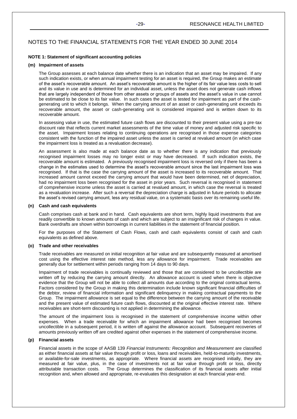### **NOTE 1: Statement of significant accounting policies**

### **(m) Impairment of assets**

The Group assesses at each balance date whether there is an indication that an asset may be impaired. If any such indication exists, or when annual impairment testing for an asset is required, the Group makes an estimate of the asset's recoverable amount. An asset's recoverable amount is the higher of its fair value less costs to sell and its value in use and is determined for an individual asset, unless the asset does not generate cash inflows that are largely independent of those from other assets or groups of assets and the asset's value in use cannot be estimated to be close to its fair value. In such cases the asset is tested for impairment as part of the cashgenerating unit to which it belongs. When the carrying amount of an asset or cash-generating unit exceeds its recoverable amount, the asset or cash-generating unit is considered impaired and is written down to its recoverable amount.

In assessing value in use, the estimated future cash flows are discounted to their present value using a pre-tax discount rate that reflects current market assessments of the time value of money and adjusted risk specific to the asset. Impairment losses relating to continuing operations are recognised in those expense categories consistent with the function of the impaired asset unless the asset is carried at revalued amount (in which case the impairment loss is treated as a revaluation decrease).

An assessment is also made at each balance date as to whether there is any indication that previously recognised impairment losses may no longer exist or may have decreased. If such indication exists, the recoverable amount is estimated. A previously recognised impairment loss is reversed only if there has been a change in the estimates used to determine the asset's recoverable amount since the last impairment loss was recognised. If that is the case the carrying amount of the asset is increased to its recoverable amount. That increased amount cannot exceed the carrying amount that would have been determined, net of depreciation, had no impairment loss been recognised for the asset in prior years. Such reversal is recognised in statement of comprehensive income unless the asset is carried at revalued amount, in which case the reversal is treated as a revaluation increase. After such a reversal the depreciation charge is adjusted in future periods to allocate the asset's revised carrying amount, less any residual value, on a systematic basis over its remaining useful life.

### **(n) Cash and cash equivalents**

Cash comprises cash at bank and in hand. Cash equivalents are short term, highly liquid investments that are readily convertible to known amounts of cash and which are subject to an insignificant risk of changes in value. Bank overdrafts are shown within borrowings in current liabilities in the statement of financial position.

For the purposes of the Statement of Cash Flows, cash and cash equivalents consist of cash and cash equivalents as defined above.

## **(o) Trade and other receivables**

Trade receivables are measured on initial recognition at fair value and are subsequently measured at amortised cost using the effective interest rate method, less any allowance for impairment. Trade receivables are generally due for settlement within periods ranging from 14 days to 90 days.

Impairment of trade receivables is continually reviewed and those that are considered to be uncollectible are written off by reducing the carrying amount directly. An allowance account is used when there is objective evidence that the Group will not be able to collect all amounts due according to the original contractual terms. Factors considered by the Group in making this determination include known significant financial difficulties of the debtor, review of financial information and significant delinquency in making contractual payments to the Group. The impairment allowance is set equal to the difference between the carrying amount of the receivable and the present value of estimated future cash flows, discounted at the original effective interest rate. Where receivables are short-term discounting is not applied in determining the allowance.

The amount of the impairment loss is recognised in the statement of comprehensive income within other expenses. When a trade receivable for which an impairment allowance had been recognised becomes uncollectible in a subsequent period, it is written off against the allowance account. Subsequent recoveries of amounts previously written off are credited against other expenses in the statement of comprehensive income.

## **(p) Financial assets**

Financial assets in the scope of AASB 139 *Financial Instruments: Recognition and Measurement* are classified as either financial assets at fair value through profit or loss, loans and receivables, held-to-maturity investments, or available-for-sale investments, as appropriate. Where financial assets are recognised initially, they are measured at fair value, plus, in the case of investments not at fair value through profit or loss, directly attributable transaction costs. The Group determines the classification of its financial assets after initial recognition and, when allowed and appropriate, re-evaluates this designation at each financial year-end.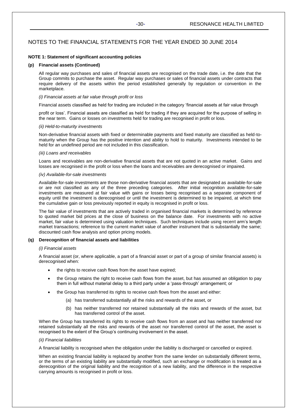### **NOTE 1: Statement of significant accounting policies**

### **(p) Financial assets (Continued)**

All regular way purchases and sales of financial assets are recognised on the trade date, i.e. the date that the Group commits to purchase the asset. Regular way purchases or sales of financial assets under contracts that require delivery of the assets within the period established generally by regulation or convention in the marketplace.

## *(i) Financial assets at fair value through profit or loss*

Financial assets classified as held for trading are included in the category 'financial assets at fair value through

profit or loss'. Financial assets are classified as held for trading if they are acquired for the purpose of selling in the near term. Gains or losses on investments held for trading are recognised in profit or loss.

### *(ii) Held-to-maturity investments*

Non-derivative financial assets with fixed or determinable payments and fixed maturity are classified as held-tomaturity when the Group has the positive intention and ability to hold to maturity. Investments intended to be held for an undefined period are not included in this classification.

### *(iii) Loans and receivables*

Loans and receivables are non-derivative financial assets that are not quoted in an active market. Gains and losses are recognised in the profit or loss when the loans and receivables are derecognised or impaired.

## *(iv) Available-for-sale investments*

Available-for-sale investments are those non-derivative financial assets that are designated as available-for-sale or are not classified as any of the three preceding categories. After initial recognition available-for-sale investments are measured at fair value with gains or losses being recognised as a separate component of equity until the investment is derecognised or until the investment is determined to be impaired, at which time the cumulative gain or loss previously reported in equity is recognised in profit or loss.

The fair value of investments that are actively traded in organised financial markets is determined by reference to quoted market bid prices at the close of business on the balance date. For investments with no active market, fair value is determined using valuation techniques. Such techniques include using recent arm's length market transactions; reference to the current market value of another instrument that is substantially the same; discounted cash flow analysis and option pricing models.

### **(q) Derecognition of financial assets and liabilities**

### *(i) Financial assets*

A financial asset (or, where applicable, a part of a financial asset or part of a group of similar financial assets) is derecognised when:

- the rights to receive cash flows from the asset have expired;
- the Group retains the right to receive cash flows from the asset, but has assumed an obligation to pay them in full without material delay to a third party under a 'pass-through' arrangement; or
- the Group has transferred its rights to receive cash flows from the asset and either:
	- (a) has transferred substantially all the risks and rewards of the asset, or
	- (b) has neither transferred nor retained substantially all the risks and rewards of the asset, but has transferred control of the asset.

When the Group has transferred its rights to receive cash flows from an asset and has neither transferred nor retained substantially all the risks and rewards of the asset nor transferred control of the asset, the asset is recognised to the extent of the Group's continuing involvement in the asset.

## *(ii) Financial liabilities*

A financial liability is recognised when the obligation under the liability is discharged or cancelled or expired.

When an existing financial liability is replaced by another from the same lender on substantially different terms, or the terms of an existing liability are substantially modified, such an exchange or modification is treated as a derecognition of the original liability and the recognition of a new liability, and the difference in the respective carrying amounts is recognised in profit or loss.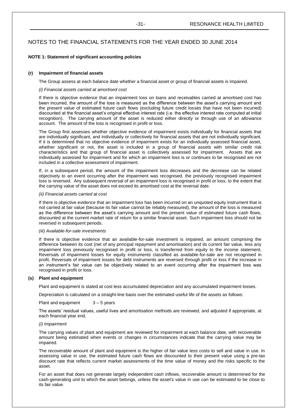### **NOTE 1: Statement of significant accounting policies**

### **(r) Impairment of financial assets**

The Group assess at each balance date whether a financial asset or group of financial assets is impaired.

## *(i) Financial assets carried at amortised cost*

If there is objective evidence that an impairment loss on loans and receivables carried at amortised cost has been incurred, the amount of the loss is measured as the difference between the asset's carrying amount and the present value of estimated future cash flows (excluding future credit losses that have not been incurred) discounted at the financial asset's original effective interest rate (i.e. the effective interest rate computed at initial recognition). The carrying amount of the asset is reduced either directly or through use of an allowance account. The amount of the loss is recognised in profit or loss.

The Group first assesses whether objective evidence of impairment exists individually for financial assets that are individually significant, and individually or collectively for financial assets that are not individually significant. If it is determined that no objective evidence of impairment exists for an individually assessed financial asset, whether significant or not, the asset is included in a group of financial assets with similar credit risk characteristics and that group of financial asset is collectively assessed for impairment. Assets that are individually assessed for impairment and for which an impairment loss is or continues to be recognised are not included in a collective assessment of impairment.

If, in a subsequent period, the amount of the impairment loss decreases and the decrease can be related objectively to an event occurring after the impairment was recognised, the previously recognised impairment loss is reversed. Any subsequent reversal of an impairment loss is recognised in profit or loss, to the extent that the carrying value of the asset does not exceed its amortised cost at the reversal date.

## *(ii) Financial assets carried at cost*

If there is objective evidence that an impairment loss has been incurred on an unquoted equity instrument that is not carried at fair value (because its fair value cannot be reliably measured), the amount of the loss is measured as the difference between the asset's carrying amount and the present value of estimated future cash flows, discounted at the current market rate of return for a similar financial asset. Such impairment loss should not be reversed in subsequent periods.

### *(iii) Available-for-sale investments*

If there is objective evidence that an available-for-sale investment is impaired, an amount comprising the difference between its cost (net of any principal repayment and amortisation) and its current fair value, less any impairment loss previously recognised in profit or loss, is transferred from equity to the income statement. Reversals of impairment losses for equity instruments classified as available-for-sale are not recognised in profit. Reversals of impairment losses for debt instruments are reversed through profit or loss if the increase in an instrument's fair value can be objectively related to an event occurring after the impairment loss was recognised in profit or loss.

### **(s) Plant and equipment**

Plant and equipment is stated at cost less accumulated depreciation and any accumulated impairment losses.

Depreciation is calculated on a straight-line basis over the estimated useful life of the assets as follows:

Plant and equipment  $3 - 5$  years

The assets' residual values, useful lives and amortisation methods are reviewed, and adjusted if appropriate, at each financial year end.

## *(i) Impairment*

The carrying values of plant and equipment are reviewed for impairment at each balance date, with recoverable amount being estimated when events or changes in circumstances indicate that the carrying value may be impaired.

The recoverable amount of plant and equipment is the higher of fair value less costs to sell and value in use. In assessing value in use, the estimated future cash flows are discounted to their present value using a pre-tax discount rate that reflects current market assessments of the time value of money and the risks specific to the asset.

For an asset that does not generate largely independent cash inflows, recoverable amount is determined for the cash-generating unit to which the asset belongs, unless the asset's value in use can be estimated to be close to its fair value.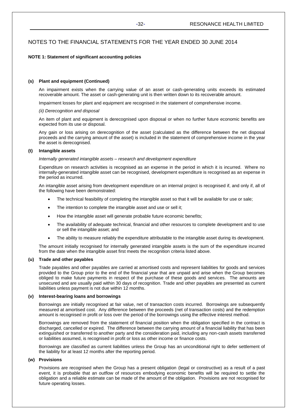## **NOTE 1: Statement of significant accounting policies**

## **(s) Plant and equipment (Continued)**

An impairment exists when the carrying value of an asset or cash-generating units exceeds its estimated recoverable amount. The asset or cash-generating unit is then written down to its recoverable amount.

Impairment losses for plant and equipment are recognised in the statement of comprehensive income.

## *(ii) Derecognition and disposal*

An item of plant and equipment is derecognised upon disposal or when no further future economic benefits are expected from its use or disposal.

Any gain or loss arising on derecognition of the asset (calculated as the difference between the net disposal proceeds and the carrying amount of the asset) is included in the statement of comprehensive income in the year the asset is derecognised.

## **(t) Intangible assets**

## *Internally generated intangible assets – research and development expenditure*

Expenditure on research activities is recognised as an expense in the period in which it is incurred. Where no internally-generated intangible asset can be recognised, development expenditure is recognised as an expense in the period as incurred.

An intangible asset arising from development expenditure on an internal project is recognised if, and only if, all of the following have been demonstrated:

- The technical feasibility of completing the intangible asset so that it will be available for use or sale;
- The intention to complete the intangible asset and use or sell it;
- How the intangible asset will generate probable future economic benefits;
- The availability of adequate technical, financial and other resources to complete development and to use or sell the intangible asset; and
- The ability to measure reliably the expenditure attributable to the intangible asset during its development.

The amount initially recognised for internally generated intangible assets is the sum of the expenditure incurred from the date when the intangible asset first meets the recognition criteria listed above.

## **(u) Trade and other payables**

Trade payables and other payables are carried at amortised costs and represent liabilities for goods and services provided to the Group prior to the end of the financial year that are unpaid and arise when the Group becomes obliged to make future payments in respect of the purchase of these goods and services. The amounts are unsecured and are usually paid within 30 days of recognition. Trade and other payables are presented as current liabilities unless payment is not due within 12 months.

## **(v) Interest-bearing loans and borrowings**

Borrowings are initially recognised at fair value, net of transaction costs incurred. Borrowings are subsequently measured at amortised cost. Any difference between the proceeds (net of transaction costs) and the redemption amount is recognised in profit or loss over the period of the borrowings using the effective interest method.

Borrowings are removed from the statement of financial position when the obligation specified in the contract is discharged, cancelled or expired. The difference between the carrying amount of a financial liability that has been extinguished or transferred to another party and the consideration paid, including any non-cash assets transferred or liabilities assumed, is recognised in profit or loss as other income or finance costs.

Borrowings are classified as current liabilities unless the Group has an unconditional right to defer settlement of the liability for at least 12 months after the reporting period.

## **(w) Provisions**

Provisions are recognised when the Group has a present obligation (legal or constructive) as a result of a past event, it is probable that an outflow of resources embodying economic benefits will be required to settle the obligation and a reliable estimate can be made of the amount of the obligation. Provisions are not recognised for future operating losses.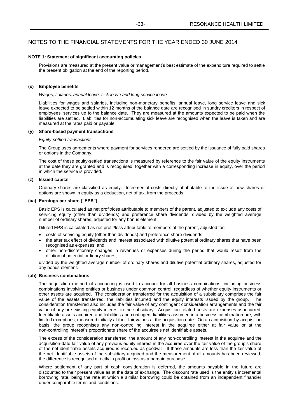## **NOTE 1: Statement of significant accounting policies**

Provisions are measured at the present value or management's best estimate of the expenditure required to settle the present obligation at the end of the reporting period.

## **(x) Employee benefits**

## *Wages, salaries, annual leave, sick leave and long service leave*

Liabilities for wages and salaries, including non-monetary benefits, annual leave, long service leave and sick leave expected to be settled within 12 months of the balance date are recognised in sundry creditors in respect of employees' services up to the balance date. They are measured at the amounts expected to be paid when the liabilities are settled. Liabilities for non-accumulating sick leave are recognised when the leave is taken and are measured at the rates paid or payable.

## **(y) Share-based payment transactions**

## *Equity-settled transactions*

The Group uses agreements where payment for services rendered are settled by the issuance of fully paid shares or options in the Company.

The cost of these equity-settled transactions is measured by reference to the fair value of the equity instruments at the date they are granted and is recognised, together with a corresponding increase in equity, over the period in which the service is provided.

## **(z) Issued capital**

Ordinary shares are classified as equity. Incremental costs directly attributable to the issue of new shares or options are shown in equity as a deduction, net of tax, from the proceeds.

## **(aa) Earnings per share ("EPS")**

Basic EPS is calculated as net profit/loss attributable to members of the parent, adjusted to exclude any costs of servicing equity (other than dividends) and preference share dividends, divided by the weighted average number of ordinary shares, adjusted for any bonus element.

Diluted EPS is calculated as net profit/loss attributable to members of the parent, adjusted for:

- costs of servicing equity (other than dividends) and preference share dividends;
- the after tax effect of dividends and interest associated with dilutive potential ordinary shares that have been recognised as expenses; and
- other non-discretionary changes in revenues or expenses during the period that would result from the dilution of potential ordinary shares;

divided by the weighted average number of ordinary shares and dilutive potential ordinary shares, adjusted for any bonus element.

## **(ab) Business combinations**

The acquisition method of accounting is used to account for all business combinations, including business combinations involving entities or business under common control, regardless of whether equity instruments or other assets are acquired. The consideration transferred for the acquisition of a subsidiary comprises the fair value of the assets transferred, the liabilities incurred and the equity interests issued by the group. The consideration transferred also includes the fair value of any contingent consideration arrangements and the fair value of any pre-existing equity interest in the subsidiary. Acquisition-related costs are expenses as incurred. Identifiable assets acquired and liabilities and contingent liabilities assumed in a business combination are, with limited exceptions, measured initially at their fair values at the acquisition date. On an acquisition-by-acquisition basis, the group recognises any non-controlling interest in the acquiree either at fair value or at the non-controlling interest's proportionate share of the acquiree's net identifiable assets.

The excess of the consideration transferred, the amount of any non-controlling interest in the acquiree and the acquisition-date fair value of any previous equity interest in the acquiree over the fair value of the group's share of the net identifiable assets acquired is recorded as goodwill. If those amounts are less than the fair value of the net identifiable assets of the subsidiary acquired and the measurement of all amounts has been reviewed, the difference is recognised directly in profit or loss as a bargain purchase.

Where settlement of any part of cash consideration is deferred, the amounts payable in the future are discounted to their present value as at the date of exchange. The discount rate used is the entity's incremental borrowing rate, being the rate at which a similar borrowing could be obtained from an independent financier under comparable terms and conditions.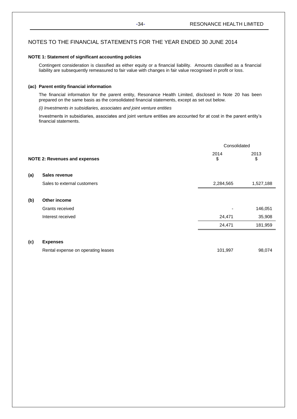## **NOTE 1: Statement of significant accounting policies**

Contingent consideration is classified as either equity or a financial liability. Amounts classified as a financial liability are subsequently remeasured to fair value with changes in fair value recognised in profit or loss.

## **(ac) Parent entity financial information**

The financial information for the parent entity, Resonance Health Limited, disclosed in Note 20 has been prepared on the same basis as the consolidated financial statements, except as set out below.

## *(i) Investments in subsidiaries, associates and joint venture entities*

Investments in subsidiaries, associates and joint venture entities are accounted for at cost in the parent entity's financial statements.

|     |                                      | Consolidated |            |  |
|-----|--------------------------------------|--------------|------------|--|
|     | <b>NOTE 2: Revenues and expenses</b> | 2014<br>\$   | 2013<br>\$ |  |
| (a) | Sales revenue                        |              |            |  |
|     | Sales to external customers          | 2,284,565    | 1,527,188  |  |
| (b) | Other income                         |              |            |  |
|     | Grants received                      |              | 146,051    |  |
|     | Interest received                    | 24,471       | 35,908     |  |
|     |                                      | 24,471       | 181,959    |  |
| (c) | <b>Expenses</b>                      |              |            |  |
|     | Rental expense on operating leases   | 101,997      | 98,074     |  |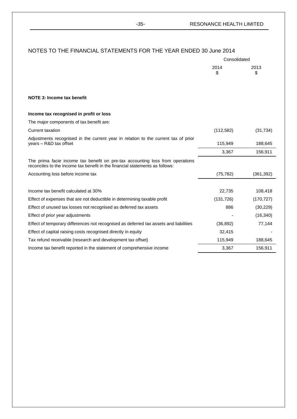|                                                                                                                                                               | Consolidated |            |  |
|---------------------------------------------------------------------------------------------------------------------------------------------------------------|--------------|------------|--|
|                                                                                                                                                               | 2014<br>\$   | 2013<br>\$ |  |
| <b>NOTE 3: Income tax benefit</b>                                                                                                                             |              |            |  |
| Income tax recognised in profit or loss                                                                                                                       |              |            |  |
| The major components of tax benefit are:                                                                                                                      |              |            |  |
| Current taxation                                                                                                                                              | (112, 582)   | (31, 734)  |  |
| Adjustments recognised in the current year in relation to the current tax of prior<br>years - R&D tax offset                                                  | 115,949      | 188,645    |  |
|                                                                                                                                                               | 3,367        | 156,911    |  |
| The prima facie income tax benefit on pre-tax accounting loss from operations<br>reconciles to the income tax benefit in the financial statements as follows: |              |            |  |
| Accounting loss before income tax                                                                                                                             | (75, 782)    | (361, 392) |  |
|                                                                                                                                                               |              |            |  |
| Income tax benefit calculated at 30%                                                                                                                          | 22,735       | 108,418    |  |
| Effect of expenses that are not deductible in determining taxable profit                                                                                      | (131, 726)   | (170, 727) |  |
| Effect of unused tax losses not recognised as deferred tax assets                                                                                             | 886          | (30, 229)  |  |
| Effect of prior year adjustments                                                                                                                              |              | (16, 340)  |  |
| Effect of temporary differences not recognised as deferred tax assets and liabilities                                                                         | (36, 892)    | 77,144     |  |
| Effect of capital raising costs recognised directly in equity                                                                                                 | 32,415       |            |  |
| Tax refund receivable (research and development tax offset)                                                                                                   | 115,949      | 188,645    |  |
| Income tax benefit reported in the statement of comprehensive income                                                                                          | 3,367        | 156,911    |  |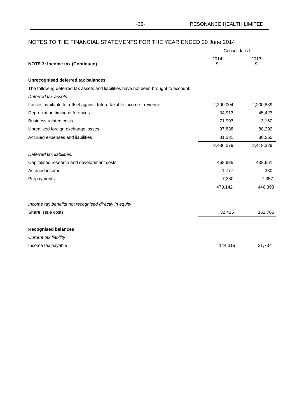|                                                                                     | Consolidated |            |
|-------------------------------------------------------------------------------------|--------------|------------|
| <b>NOTE 3: Income tax (Continued)</b>                                               | 2014<br>\$   | 2013<br>\$ |
| Unrecognised deferred tax balances                                                  |              |            |
| The following deferred tax assets and liabilities have not been brought to account: |              |            |
| Deferred tax assets:                                                                |              |            |
| Losses available for offset against future taxable income - revenue                 | 2,200,004    | 2,200,889  |
| Depreciation timing differences                                                     | 34,913       | 45,423     |
| <b>Business related costs</b>                                                       | 71,993       | 3,160      |
| Unrealised foreign exchange losses                                                  | 97,838       | 88,292     |
| Accrued expenses and liabilities                                                    | 81,331       | 80,565     |
|                                                                                     | 2,486,079    | 2,418,329  |
| Deferred tax liabilities:                                                           |              |            |
| Capitalised research and development costs                                          | 468,985      | 438,661    |
| Accrued income                                                                      | 1,777        | 380        |
| Prepayments                                                                         | 7,380        | 7,357      |
|                                                                                     | 478,142      | 446,398    |
| Income tax benefits not recognised directly in equity                               |              |            |
| Share issue costs                                                                   | 32,415       | 152,765    |
| <b>Recognised balances</b>                                                          |              |            |
| Current tax liability                                                               |              |            |
| Income tax payable                                                                  | 144,316      | 31,734     |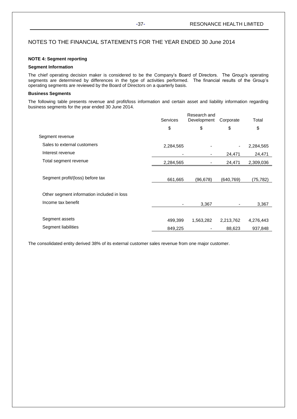## **NOTE 4: Segment reporting**

## **Segment Information**

The chief operating decision maker is considered to be the Company's Board of Directors. The Group's operating segments are determined by differences in the type of activities performed. The financial results of the Group's operating segments are reviewed by the Board of Directors on a quarterly basis.

## **Business Segments**

The following table presents revenue and profit/loss information and certain asset and liability information regarding business segments for the year ended 30 June 2014.

|                                            |           | Research and |                |           |
|--------------------------------------------|-----------|--------------|----------------|-----------|
|                                            | Services  | Development  | Corporate      | Total     |
|                                            | \$        | \$           | \$             | \$        |
| Segment revenue                            |           |              |                |           |
| Sales to external customers                | 2,284,565 |              | $\blacksquare$ | 2,284,565 |
| Interest revenue                           |           |              | 24,471         | 24,471    |
| Total segment revenue                      | 2,284,565 |              | 24,471         | 2,309,036 |
|                                            |           |              |                |           |
| Segment profit/(loss) before tax           | 661,665   | (96,678)     | (640, 769)     | (75,782)  |
| Other segment information included in loss |           |              |                |           |
| Income tax benefit                         | ٠         | 3,367        |                | 3,367     |
|                                            |           |              |                |           |
| Segment assets                             | 499,399   | 1,563,282    | 2,213,762      | 4,276,443 |
| Segment liabilities                        | 849,225   |              | 88,623         | 937,848   |

The consolidated entity derived 38% of its external customer sales revenue from one major customer.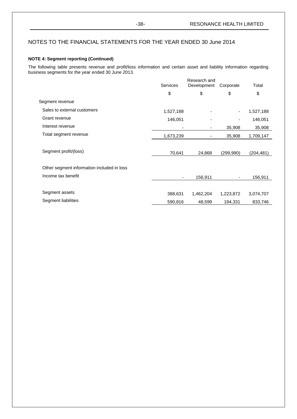## **NOTE 4: Segment reporting (Continued)**

The following table presents revenue and profit/loss information and certain asset and liability information regarding business segments for the year ended 30 June 2013.

| \$        | Development<br>\$ | Corporate                |           |
|-----------|-------------------|--------------------------|-----------|
|           |                   | \$                       | \$        |
|           |                   |                          |           |
| 1,527,188 |                   | $\overline{\phantom{a}}$ | 1,527,188 |
| 146,051   |                   |                          | 146,051   |
| ٠         |                   | 35,908                   | 35,908    |
| 1,673,239 | ٠                 | 35,908                   | 1,709,147 |
| 70,641    | 24,868            | (299, 990)               | (204,481) |
|           |                   |                          |           |
|           | 156,911           |                          | 156,911   |
| 388,631   | 1,462,204         | 1,223,872                | 3,074,707 |
| 590,816   | 48,599            | 194,331                  | 833,746   |
|           |                   |                          |           |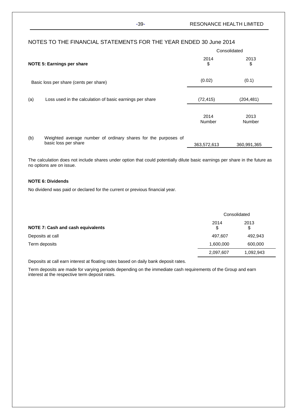|     | NOTES TO THE FINANCIAL STATEMENTS FOR THE YEAR ENDED 30 June 2014                      |                |                       |  |
|-----|----------------------------------------------------------------------------------------|----------------|-----------------------|--|
|     |                                                                                        |                | Consolidated          |  |
|     | <b>NOTE 5: Earnings per share</b>                                                      | 2014<br>\$     | 2013<br>\$            |  |
|     | Basic loss per share (cents per share)                                                 | (0.02)         | (0.1)                 |  |
| (a) | Loss used in the calculation of basic earnings per share                               | (72, 415)      | (204,481)             |  |
|     |                                                                                        | 2014<br>Number | 2013<br><b>Number</b> |  |
| (b) | Weighted average number of ordinary shares for the purposes of<br>basic loss per share | 363,572,613    | 360,991,365           |  |

The calculation does not include shares under option that could potentially dilute basic earnings per share in the future as no options are on issue.

## **NOTE 6: Dividends**

No dividend was paid or declared for the current or previous financial year.

|                                          | Consolidated |            |  |
|------------------------------------------|--------------|------------|--|
| <b>NOTE 7: Cash and cash equivalents</b> | 2014<br>\$   | 2013<br>\$ |  |
| Deposits at call                         | 497.607      | 492,943    |  |
| Term deposits                            | 1,600,000    | 600,000    |  |
|                                          | 2,097,607    | 1,092,943  |  |

Deposits at call earn interest at floating rates based on daily bank deposit rates.

Term deposits are made for varying periods depending on the immediate cash requirements of the Group and earn interest at the respective term deposit rates.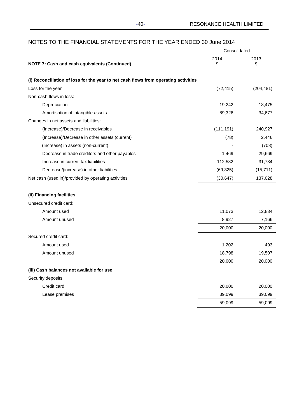|                                                                                     | Consolidated |            |
|-------------------------------------------------------------------------------------|--------------|------------|
| <b>NOTE 7: Cash and cash equivalents (Continued)</b>                                | 2014<br>\$   | 2013<br>\$ |
| (i) Reconciliation of loss for the year to net cash flows from operating activities |              |            |
| Loss for the year                                                                   | (72, 415)    | (204, 481) |
| Non-cash flows in loss:                                                             |              |            |
| Depreciation                                                                        | 19,242       | 18,475     |
| Amortisation of intangible assets                                                   | 89,326       | 34,677     |
| Changes in net assets and liabilities:                                              |              |            |
| (Increase)/Decrease in receivables                                                  | (111, 191)   | 240,927    |
| (Increase)/Decrease in other assets (current)                                       | (78)         | 2,446      |
| (Increase) in assets (non-current)                                                  |              | (708)      |
| Decrease in trade creditors and other payables                                      | 1,469        | 29,669     |
| Increase in current tax liabilities                                                 | 112,582      | 31,734     |
| Decrease/(increase) in other liabilities                                            | (69, 325)    | (15, 711)  |
| Net cash (used in)/provided by operating activities                                 | (30, 647)    | 137,028    |
| (ii) Financing facilities                                                           |              |            |
| Unsecured credit card:                                                              |              |            |
| Amount used                                                                         | 11,073       | 12,834     |
| Amount unused                                                                       | 8,927        | 7,166      |
|                                                                                     | 20,000       | 20,000     |
| Secured credit card:                                                                |              |            |
| Amount used                                                                         | 1,202        | 493        |
| Amount unused                                                                       | 18,798       | 19,507     |
|                                                                                     | 20,000       | 20,000     |
| (iii) Cash balances not available for use                                           |              |            |
| Security deposits:                                                                  |              |            |
| Credit card                                                                         | 20,000       | 20,000     |
| Lease premises                                                                      | 39,099       | 39,099     |
|                                                                                     | 59,099       | 59,099     |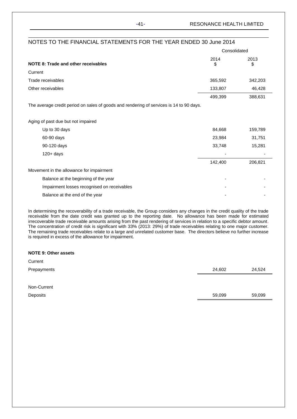-41- RESONANCE HEALTH LIMITED

| NOTES TO THE FINANCIAL STATEMENTS FOR THE YEAR ENDED 30 June 2014                       |              |            |
|-----------------------------------------------------------------------------------------|--------------|------------|
|                                                                                         | Consolidated |            |
| NOTE 8: Trade and other receivables                                                     | 2014<br>\$   | 2013<br>\$ |
| Current                                                                                 |              |            |
| Trade receivables                                                                       | 365,592      | 342,203    |
| Other receivables                                                                       | 133,807      | 46,428     |
|                                                                                         | 499,399      | 388,631    |
| The average credit period on sales of goods and rendering of services is 14 to 90 days. |              |            |
| Aging of past due but not impaired                                                      |              |            |
| Up to 30 days                                                                           | 84,668       | 159,789    |
| 60-90 days                                                                              | 23,984       | 31,751     |
| 90-120 days                                                                             | 33,748       | 15,281     |
| $120 + days$                                                                            |              |            |
|                                                                                         | 142,400      | 206,821    |
| Movement in the allowance for impairment                                                |              |            |
| Balance at the beginning of the year                                                    |              |            |
| Impairment losses recognised on receivables                                             |              |            |
| Balance at the end of the year                                                          |              |            |

In determining the recoverability of a trade receivable, the Group considers any changes in the credit quality of the trade receivable from the date credit was granted up to the reporting date. No allowance has been made for estimated irrecoverable trade receivable amounts arising from the past rendering of services in relation to a specific debtor amount. The concentration of credit risk is significant with 33% (2013: 29%) of trade receivables relating to one major customer. The remaining trade receivables relate to a large and unrelated customer base. The directors believe no further increase is required in excess of the allowance for impairment.

| <b>NOTE 9: Other assets</b> |        |        |
|-----------------------------|--------|--------|
| Current                     |        |        |
| Prepayments                 | 24,602 | 24,524 |
|                             |        |        |
| Non-Current                 |        |        |
| Deposits                    | 59,099 | 59,099 |
|                             |        |        |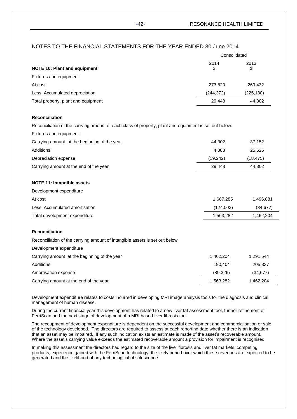|                                     | Consolidated |            |  |
|-------------------------------------|--------------|------------|--|
| <b>NOTE 10: Plant and equipment</b> | 2014<br>\$   | 2013<br>\$ |  |
| Fixtures and equipment              |              |            |  |
| At cost                             | 273,820      | 269,432    |  |
| Less: Accumulated depreciation      | (244, 372)   | (225, 130) |  |
| Total property, plant and equipment | 29.448       | 44,302     |  |

## **Reconciliation**

Reconciliation of the carrying amount of each class of property, plant and equipment is set out below:

| Fixtures and equipment                       |          |          |
|----------------------------------------------|----------|----------|
| Carrying amount at the beginning of the year | 44.302   | 37,152   |
| Additions                                    | 4.388    | 25.625   |
| Depreciation expense                         | (19.242) | (18.475) |
| Carrying amount at the end of the year       | 29.448   | 44.302   |

## **NOTE 11: Intangible assets**

| Development expenditure        |           |           |
|--------------------------------|-----------|-----------|
| At cost                        | 1.687.285 | 1.496.881 |
| Less: Accumulated amortisation | (124.003) | (34.677)  |
| Total development expenditure  | 1.563.282 | 1.462.204 |

## **Reconciliation**

Reconciliation of the carrying amount of intangible assets is set out below:

| Development expenditure                      |           |           |
|----------------------------------------------|-----------|-----------|
| Carrying amount at the beginning of the year | 1.462.204 | 1,291,544 |
| Additions                                    | 190.404   | 205.337   |
| Amortisation expense                         | (89.326)  | (34, 677) |
| Carrying amount at the end of the year       | 1.563.282 | 1.462.204 |

Development expenditure relates to costs incurred in developing MRI image analysis tools for the diagnosis and clinical management of human disease.

During the current financial year this development has related to a new liver fat assessment tool, further refinement of FerriScan and the next stage of development of a MRI based liver fibrosis tool.

The recoupment of development expenditure is dependent on the successful development and commercialisation or sale of the technology developed. The directors are required to assess at each reporting date whether there is an indication that an asset may be impaired. If any such indication exists an estimate is made of the asset's recoverable amount. Where the asset's carrying value exceeds the estimated recoverable amount a provision for impairment is recognised.

In making this assessment the directors had regard to the size of the liver fibrosis and liver fat markets, competing products, experience gained with the FerriScan technology, the likely period over which these revenues are expected to be generated and the likelihood of any technological obsolescence.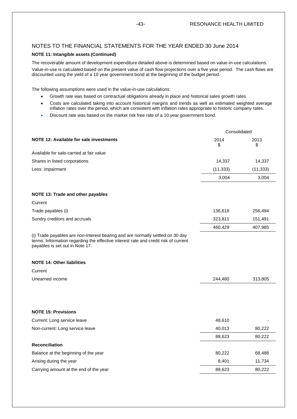## **NOTE 11: Intangible assets (Continued)**

The recoverable amount of development expenditure detailed above is determined based on value-in-use calculations. Value-in-use is calculated based on the present value of cash flow projections over a five year period. The cash flows are discounted using the yield of a 10 year government bond at the beginning of the budget period.

The following assumptions were used in the value-in-use calculations:

- Growth rate was based on contractual obligations already in place and historical sales growth rates.
- Costs are calculated taking into account historical margins and trends as well as estimated weighted average inflation rates over the period, which are consistent with inflation rates appropriate to historic company rates.
- Discount rate was based on the market risk free rate of a 10 year government bond.

|                                                                                                                                                                                                          | Consolidated |            |
|----------------------------------------------------------------------------------------------------------------------------------------------------------------------------------------------------------|--------------|------------|
| NOTE 12: Available for sale investments                                                                                                                                                                  | 2014<br>\$   | 2013<br>\$ |
| Available for sale-carried at fair value                                                                                                                                                                 |              |            |
| Shares in listed corporations                                                                                                                                                                            | 14,337       | 14,337     |
| Less: impairment                                                                                                                                                                                         | (11, 333)    | (11, 333)  |
|                                                                                                                                                                                                          | 3,004        | 3,004      |
| NOTE 13: Trade and other payables                                                                                                                                                                        |              |            |
| Current                                                                                                                                                                                                  |              |            |
| Trade payables (i)                                                                                                                                                                                       | 136,618      | 256,494    |
| Sundry creditors and accruals                                                                                                                                                                            | 323,811      | 151,491    |
|                                                                                                                                                                                                          | 460,429      | 407,985    |
| (i) Trade payables are non-interest bearing and are normally settled on 30 day<br>terms. Information regarding the effective interest rate and credit risk of current<br>payables is set out in Note 17. |              |            |
| <b>NOTE 14: Other liabilities</b>                                                                                                                                                                        |              |            |
| Current                                                                                                                                                                                                  |              |            |
| Unearned income                                                                                                                                                                                          | 244,480      | 313,805    |
|                                                                                                                                                                                                          |              |            |
| <b>NOTE 15: Provisions</b>                                                                                                                                                                               |              |            |
| Current: Long service leave                                                                                                                                                                              | 48,610       |            |
| Non-current: Long service leave                                                                                                                                                                          | 40,013       | 80,222     |
|                                                                                                                                                                                                          | 88,623       | 80,222     |
| <b>Reconciliation</b>                                                                                                                                                                                    |              |            |
| Balance at the beginning of the year                                                                                                                                                                     | 80,222       | 68,488     |
| Arising during the year                                                                                                                                                                                  | 8,401        | 11,734     |
| Carrying amount at the end of the year                                                                                                                                                                   | 88,623       | 80,222     |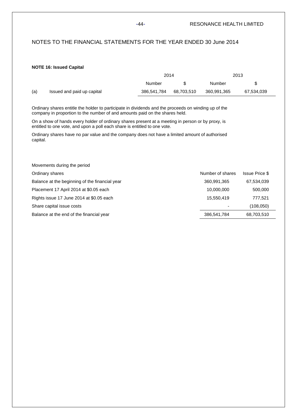-44- RESONANCE HEALTH LIMITED

## NOTES TO THE FINANCIAL STATEMENTS FOR THE YEAR ENDED 30 June 2014

## **NOTE 16: Issued Capital**

|     |                            | 2014        |            | 2013        |            |  |
|-----|----------------------------|-------------|------------|-------------|------------|--|
|     |                            | Number      |            | Number      |            |  |
| (a) | Issued and paid up capital | 386,541,784 | 68,703,510 | 360,991,365 | 67,534,039 |  |

Ordinary shares entitle the holder to participate in dividends and the proceeds on winding up of the company in proportion to the number of and amounts paid on the shares held.

On a show of hands every holder of ordinary shares present at a meeting in person or by proxy, is entitled to one vote, and upon a poll each share is entitled to one vote.

Ordinary shares have no par value and the company does not have a limited amount of authorised capital.

| Movements during the period                    |                  |                       |
|------------------------------------------------|------------------|-----------------------|
| Ordinary shares                                | Number of shares | <b>Issue Price \$</b> |
| Balance at the beginning of the financial year | 360,991,365      | 67,534,039            |
| Placement 17 April 2014 at \$0.05 each         | 10,000,000       | 500,000               |
| Rights issue 17 June 2014 at \$0.05 each       | 15,550,419       | 777.521               |
| Share capital issue costs                      |                  | (108, 050)            |
| Balance at the end of the financial year       | 386,541,784      | 68,703,510            |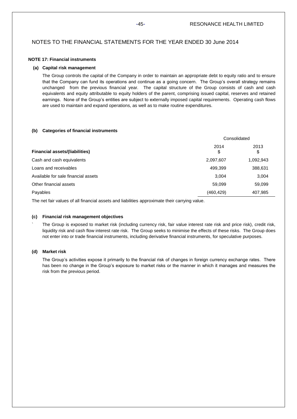## -45- RESONANCE HEALTH LIMITED

## NOTES TO THE FINANCIAL STATEMENTS FOR THE YEAR ENDED 30 June 2014

## **NOTE 17: Financial instruments**

## **(a) Capital risk management**

The Group controls the capital of the Company in order to maintain an appropriate debt to equity ratio and to ensure that the Company can fund its operations and continue as a going concern. The Group's overall strategy remains unchanged from the previous financial year. The capital structure of the Group consists of cash and cash equivalents and equity attributable to equity holders of the parent, comprising issued capital, reserves and retained earnings. None of the Group's entities are subject to externally imposed capital requirements. Operating cash flows are used to maintain and expand operations, as well as to make routine expenditures.

## **(b) Categories of financial instruments**

|                                       | Consolidated |            |  |
|---------------------------------------|--------------|------------|--|
| <b>Financial assets/(liabilities)</b> | 2014<br>\$   | 2013<br>\$ |  |
| Cash and cash equivalents             | 2,097,607    | 1,092,943  |  |
| Loans and receivables                 | 499,399      | 388,631    |  |
| Available for sale financial assets   | 3,004        | 3,004      |  |
| Other financial assets                | 59,099       | 59,099     |  |
| Payables                              | (460, 429)   | 407,985    |  |

The net fair values of all financial assets and liabilities approximate their carrying value.

## **(c) Financial risk management objectives**

` The Group is exposed to market risk (including currency risk, fair value interest rate risk and price risk), credit risk, liquidity risk and cash flow interest rate risk. The Group seeks to minimise the effects of these risks. The Group does not enter into or trade financial instruments, including derivative financial instruments, for speculative purposes.

## **(d) Market risk**

The Group's activities expose it primarily to the financial risk of changes in foreign currency exchange rates. There has been no change in the Group's exposure to market risks or the manner in which it manages and measures the risk from the previous period.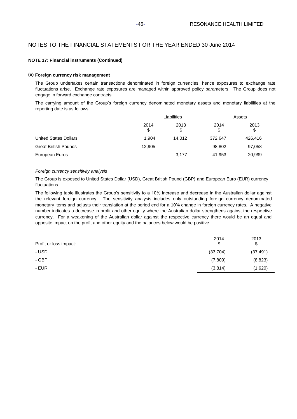## **NOTE 17: Financial instruments (Continued)**

## **(e) Foreign currency risk management**

The Group undertakes certain transactions denominated in foreign currencies, hence exposures to exchange rate fluctuations arise. Exchange rate exposures are managed within approved policy parameters. The Group does not engage in forward exchange contracts.

The carrying amount of the Group's foreign currency denominated monetary assets and monetary liabilities at the reporting date is as follows:

|                              | Liabilities              |                          | Assets     |            |  |  |
|------------------------------|--------------------------|--------------------------|------------|------------|--|--|
|                              | 2014<br>\$               | 2013<br>\$               | 2014<br>\$ | 2013<br>\$ |  |  |
| <b>United States Dollars</b> | 1,904                    | 14,012                   | 372,647    | 426,416    |  |  |
| <b>Great British Pounds</b>  | 12,905                   | $\overline{\phantom{0}}$ | 98,802     | 97,058     |  |  |
| European Euros               | $\overline{\phantom{0}}$ | 3.177                    | 41,953     | 20,999     |  |  |

## *Foreign currency sensitivity analysis*

The Group is exposed to United States Dollar (USD), Great British Pound (GBP) and European Euro (EUR) currency fluctuations.

The following table illustrates the Group's sensitivity to a 10% increase and decrease in the Australian dollar against the relevant foreign currency. The sensitivity analysis includes only outstanding foreign currency denominated monetary items and adjusts their translation at the period end for a 10% change in foreign currency rates. A negative number indicates a decrease in profit and other equity where the Australian dollar strengthens against the respective currency. For a weakening of the Australian dollar against the respective currency there would be an equal and opposite impact on the profit and other equity and the balances below would be positive.

| Profit or loss impact: | 2014<br>\$ | 2013<br>\$ |
|------------------------|------------|------------|
| - USD                  | (33,704)   | (37, 491)  |
| - GBP                  | (7,809)    | (8, 823)   |
| - EUR                  | (3,814)    | (1,620)    |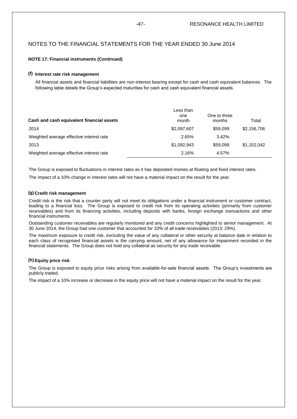## **NOTE 17: Financial instruments (Continued)**

## **(f) Interest rate risk management**

All financial assets and financial liabilities are non-interest bearing except for cash and cash equivalent balances. The following table details the Group's expected maturities for cash and cash equivalent financial assets.

| Cash and cash equivalent financial assets | Less than<br>one<br>month | One to three<br>months | Total       |
|-------------------------------------------|---------------------------|------------------------|-------------|
| 2014                                      | \$2,097,607               | \$59.099               | \$2,156,706 |
| Weighted average effective interest rate  | 2.65%                     | 3.42%                  |             |
| 2013                                      | \$1,092,943               | \$59.099               | \$1.152.042 |
| Weighted average effective interest rate  | 2.16%                     | 4.57%                  |             |

The Group is exposed to fluctuations in interest rates as it has deposited monies at floating and fixed interest rates.

The impact of a 10% change in interest rates will not have a material impact on the result for the year.

## **(g) Credit risk management**

Credit risk is the risk that a counter party will not meet its obligations under a financial instrument or customer contract, leading to a financial loss. The Group is exposed to credit risk from its operating activities (primarily from customer receivables) and from its financing activities, including deposits with banks, foreign exchange transactions and other financial instruments.

Outstanding customer receivables are regularly monitored and any credit concerns highlighted to senior management. At 30 June 2014, the Group had one customer that accounted for 33% of all trade receivables (2013: 29%).

The maximum exposure to credit risk, excluding the value of any collateral or other security at balance date in relation to each class of recognised financial assets is the carrying amount, net of any allowance for impairment recorded in the financial statements. The Group does not hold any collateral as security for any trade receivable.

## **(h)Equity price risk**

The Group is exposed to equity price risks arising from available-for-sale financial assets. The Group's investments are publicly traded.

The impact of a 10% increase or decrease in the equity price will not have a material impact on the result for the year.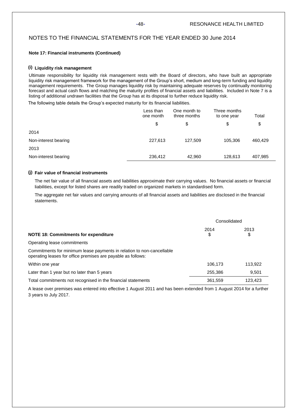## **Note 17: Financial instruments (Continued)**

## **(i) Liquidity risk management**

Ultimate responsibility for liquidity risk management rests with the Board of directors, who have built an appropriate liquidity risk management framework for the management of the Group's short, medium and long-term funding and liquidity management requirements. The Group manages liquidity risk by maintaining adequate reserves by continually monitoring forecast and actual cash flows and matching the maturity profiles of financial assets and liabilities. Included in Note 7 is a listing of additional undrawn facilities that the Group has at its disposal to further reduce liquidity risk.

The following table details the Group's expected maturity for its financial liabilities.

|                      | Less than<br>one month | One month to<br>three months | Three months<br>to one year | Total   |
|----------------------|------------------------|------------------------------|-----------------------------|---------|
|                      | \$                     | \$                           | \$                          | \$      |
| 2014                 |                        |                              |                             |         |
| Non-interest bearing | 227,613                | 127,509                      | 105,306                     | 460,429 |
| 2013                 |                        |                              |                             |         |
| Non-interest bearing | 236,412                | 42,960                       | 128,613                     | 407,985 |

## **(j) Fair value of financial instruments**

The net fair value of all financial assets and liabilities approximate their carrying values. No financial assets or financial liabilities, except for listed shares are readily traded on organized markets in standardised form.

The aggregate net fair values and carrying amounts of all financial assets and liabilities are disclosed in the financial statements.

|                                                                                                                                       | Consolidated |            |
|---------------------------------------------------------------------------------------------------------------------------------------|--------------|------------|
| <b>NOTE 18: Commitments for expenditure</b>                                                                                           | 2014<br>\$   | 2013<br>\$ |
| Operating lease commitments                                                                                                           |              |            |
| Commitments for minimum lease payments in relation to non-cancellable<br>operating leases for office premises are payable as follows: |              |            |
| Within one year                                                                                                                       | 106,173      | 113,922    |
| Later than 1 year but no later than 5 years                                                                                           | 255,386      | 9.501      |
| Total commitments not recognised in the financial statements                                                                          | 361,559      | 123.423    |

A lease over premises was entered into effective 1 August 2011 and has been extended from 1 August 2014 for a further 3 years to July 2017.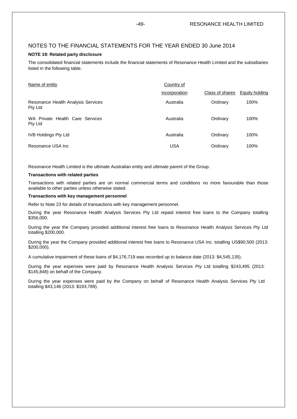## **NOTE 19: Related party disclosure**

The consolidated financial statements include the financial statements of Resonance Health Limited and the subsidiaries listed in the following table.

| Name of entity                                | Country of    |                 |                |
|-----------------------------------------------|---------------|-----------------|----------------|
|                                               | incorporation | Class of shares | Equity holding |
| Resonance Health Analysis Services<br>Pty Ltd | Australia     | Ordinary        | 100%           |
| WA Private Health Care Services<br>Pty Ltd    | Australia     | Ordinary        | 100%           |
| <b>IVB Holdings Pty Ltd</b>                   | Australia     | Ordinary        | 100%           |
| Resonance USA Inc.                            | <b>USA</b>    | Ordinary        | 100%           |

Resonance Health Limited is the ultimate Australian entity and ultimate parent of the Group.

### **Transactions with related parties**

Transactions with related parties are on normal commercial terms and conditions no more favourable than those available to other parties unless otherwise stated.

### **Transactions with key management personnel**

Refer to Note 23 for details of transactions with key management personnel.

During the year Resonance Health Analysis Services Pty Ltd repaid interest free loans to the Company totalling \$356,000.

During the year the Company provided additional interest free loans to Resonance Health Analysis Services Pty Ltd totalling \$200,000.

During the year the Company provided additional interest free loans to Resonance USA Inc. totalling US\$90,500 (2013: \$200,000).

A cumulative impairment of these loans of \$4,176,719 was recorded up to balance date (2013: \$4,545,135).

During the year expenses were paid by Resonance Health Analysis Services Pty Ltd totalling \$243,495 (2013: \$145,848) on behalf of the Company.

During the year expenses were paid by the Company on behalf of Resonance Health Analysis Services Pty Ltd totalling \$43,146 (2013: \$193,789).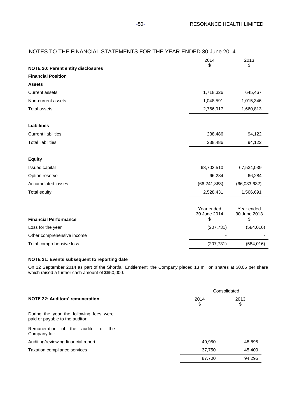|                                           | 2014                       | 2013                       |
|-------------------------------------------|----------------------------|----------------------------|
| <b>NOTE 20: Parent entity disclosures</b> | \$                         | \$                         |
| <b>Financial Position</b>                 |                            |                            |
| <b>Assets</b>                             |                            |                            |
| <b>Current assets</b>                     | 1,718,326                  | 645,467                    |
| Non-current assets                        | 1,048,591                  | 1,015,346                  |
| <b>Total assets</b>                       | 2,766,917                  | 1,660,813                  |
| <b>Liabilities</b>                        |                            |                            |
| <b>Current liabilities</b>                | 238,486                    | 94,122                     |
| <b>Total liabilities</b>                  | 238,486                    | 94,122                     |
| <b>Equity</b>                             |                            |                            |
| Issued capital                            | 68,703,510                 | 67,534,039                 |
| Option reserve                            | 66,284                     | 66,284                     |
| <b>Accumulated losses</b>                 | (66, 241, 363)             | (66,033,632)               |
| <b>Total equity</b>                       | 2,528,431                  | 1,566,691                  |
|                                           | Year ended<br>30 June 2014 | Year ended<br>30 June 2013 |
| <b>Financial Performance</b>              | \$                         | \$                         |
| Loss for the year                         | (207, 731)                 | (584, 016)                 |
| Other comprehensive income                |                            |                            |
| Total comprehensive loss                  | (207, 731)                 | (584, 016)                 |

## **NOTE 21: Events subsequent to reporting date**

On 12 September 2014 as part of the Shortfall Entitlement, the Company placed 13 million shares at \$0.05 per share which raised a further cash amount of \$650,000.

|                                                                            | Consolidated |            |
|----------------------------------------------------------------------------|--------------|------------|
| NOTE 22: Auditors' remuneration                                            | 2014<br>\$   | 2013<br>\$ |
| During the year the following fees were<br>paid or payable to the auditor: |              |            |
| Remuneration of the<br>auditor<br>the<br>of<br>Company for:                |              |            |
| Auditing/reviewing financial report                                        | 49.950       | 48,895     |
| Taxation compliance services                                               | 37,750       | 45,400     |
|                                                                            | 87.700       | 94.295     |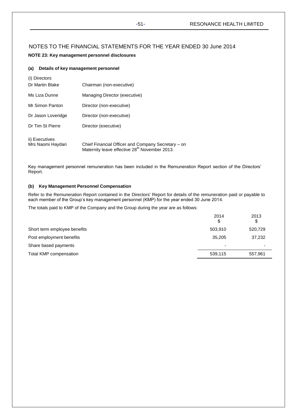## **NOTE 23: Key management personnel disclosures**

## **(a) Details of key management personnel**

| (i) Directors      |                                                                                                                 |
|--------------------|-----------------------------------------------------------------------------------------------------------------|
| Dr Martin Blake    | Chairman (non-executive)                                                                                        |
| Ms Liza Dunne      | Managing Director (executive)                                                                                   |
| Mr Simon Panton    | Director (non-executive)                                                                                        |
| Dr Jason Loveridge | Director (non-executive)                                                                                        |
| Dr Tim St Pierre   | Director (executive)                                                                                            |
| ii) Executives     |                                                                                                                 |
| Mrs Naomi Haydari  | Chief Financial Officer and Company Secretary – on<br>Maternity leave effective 28 <sup>th</sup> November 2013. |

Key management personnel remuneration has been included in the Remuneration Report section of the Directors' Report.

## **(b) Key Management Personnel Compensation**

Refer to the Remuneration Report contained in the Directors' Report for details of the remuneration paid or payable to each member of the Group's key management personnel (KMP) for the year ended 30 June 2014.

The totals paid to KMP of the Company and the Group during the year are as follows:

|                              | 2014<br>S                | 2013<br>\$ |
|------------------------------|--------------------------|------------|
| Short term employee benefits | 503,910                  | 520,729    |
| Post employment benefits     | 35.205                   | 37,232     |
| Share based payments         | $\overline{\phantom{0}}$ | -          |
| Total KMP compensation       | 539,115                  | 557,961    |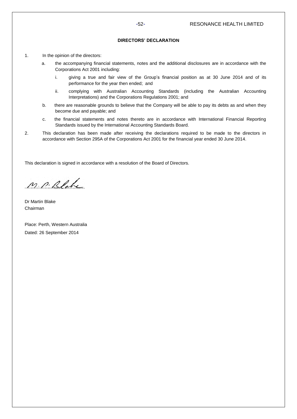## **DIRECTORS' DECLARATION**

- 1. In the opinion of the directors:
	- a. the accompanying financial statements, notes and the additional disclosures are in accordance with the Corporations Act 2001 including:
		- i. giving a true and fair view of the Group's financial position as at 30 June 2014 and of its performance for the year then ended; and
		- ii. complying with Australian Accounting Standards (including the Australian Accounting Interpretations) and the Corporations Regulations 2001; and
	- b. there are reasonable grounds to believe that the Company will be able to pay its debts as and when they become due and payable; and
	- c. the financial statements and notes thereto are in accordance with International Financial Reporting Standards issued by the International Accounting Standards Board.
- 2. This declaration has been made after receiving the declarations required to be made to the directors in accordance with Section 295A of the Corporations Act 2001 for the financial year ended 30 June 2014.

This declaration is signed in accordance with a resolution of the Board of Directors.

M. P. Blake

Dr Martin Blake Chairman

Place: Perth, Western Australia Dated: 26 September 2014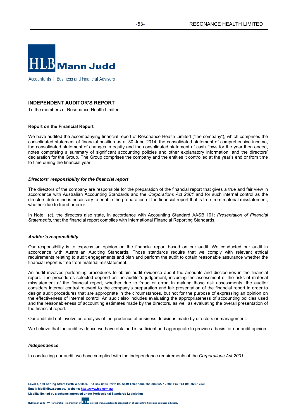

Accountants | Business and Financial Advisers

## **INDEPENDENT AUDITOR'S REPORT**

To the members of Resonance Health Limited

### **Report on the Financial Report**

We have audited the accompanying financial report of Resonance Health Limited ("the company"), which comprises the consolidated statement of financial position as at 30 June 2014, the consolidated statement of comprehensive income, the consolidated statement of changes in equity and the consolidated statement of cash flows for the year then ended, notes comprising a summary of significant accounting policies and other explanatory information, and the directors' declaration for the Group. The Group comprises the company and the entities it controlled at the year's end or from time to time during the financial year.

### *Directors' responsibility for the financial report*

The directors of the company are responsible for the preparation of the financial report that gives a true and fair view in accordance with Australian Accounting Standards and the *Corporations Act 2001* and for such internal control as the directors determine is necessary to enable the preparation of the financial report that is free from material misstatement, whether due to fraud or error.

In Note 1(c), the directors also state, in accordance with Accounting Standard AASB 101: *Presentation of Financial Statements*, that the financial report complies with International Financial Reporting Standards.

### *Auditor's responsibility*

Our responsibility is to express an opinion on the financial report based on our audit. We conducted our audit in accordance with Australian Auditing Standards. Those standards require that we comply with relevant ethical requirements relating to audit engagements and plan and perform the audit to obtain reasonable assurance whether the financial report is free from material misstatement.

An audit involves performing procedures to obtain audit evidence about the amounts and disclosures in the financial report. The procedures selected depend on the auditor's judgement, including the assessment of the risks of material misstatement of the financial report, whether due to fraud or error. In making those risk assessments, the auditor considers internal control relevant to the company's preparation and fair presentation of the financial report in order to design audit procedures that are appropriate in the circumstances, but not for the purpose of expressing an opinion on the effectiveness of internal control. An audit also includes evaluating the appropriateness of accounting policies used and the reasonableness of accounting estimates made by the directors, as well as evaluating the overall presentation of the financial report.

Our audit did not involve an analysis of the prudence of business decisions made by directors or management.

We believe that the audit evidence we have obtained is sufficient and appropriate to provide a basis for our audit opinion.

## *Independence*

In conducting our audit, we have complied with the independence requirements of the *Corporations Act 2001*.

**Level 4, 130 Stirling Street Perth WA 6000. PO Box 8124 Perth BC 6849 Telephone +61 (08) 9227 7500. Fax +61 (08) 9227 7533. Email: hlb@hlbwa.com.au. Website: http://www.hlb.com.au Liability limited by a scheme approved under Professional Standards Legislation**